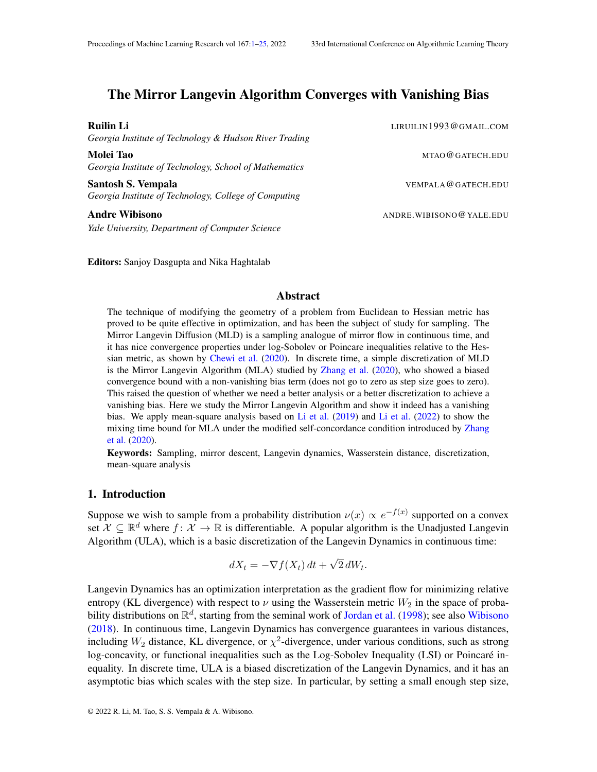# <span id="page-0-0"></span>The Mirror Langevin Algorithm Converges with Vanishing Bias

*Georgia Institute of Technology & Hudson River Trading*

**Molei Tao North American State And American State And American State And American State And American State And American State And American State And American State And American State And American State And American State** *Georgia Institute of Technology, School of Mathematics*

Santosh S. Vempala VEMPALA @GATECH.EDU *Georgia Institute of Technology, College of Computing*

Andre Wibisono ANDRE.WIBISONO @YALE.EDU *Yale University, Department of Computer Science*

Editors: Sanjoy Dasgupta and Nika Haghtalab

## Abstract

The technique of modifying the geometry of a problem from Euclidean to Hessian metric has proved to be quite effective in optimization, and has been the subject of study for sampling. The Mirror Langevin Diffusion (MLD) is a sampling analogue of mirror flow in continuous time, and it has nice convergence properties under log-Sobolev or Poincare inequalities relative to the Hessian metric, as shown by [Chewi et al.](#page-11-0) [\(2020\)](#page-11-0). In discrete time, a simple discretization of MLD is the Mirror Langevin Algorithm (MLA) studied by [Zhang et al.](#page-12-0) [\(2020\)](#page-12-0), who showed a biased convergence bound with a non-vanishing bias term (does not go to zero as step size goes to zero). This raised the question of whether we need a better analysis or a better discretization to achieve a vanishing bias. Here we study the Mirror Langevin Algorithm and show it indeed has a vanishing bias. We apply mean-square analysis based on [Li et al.](#page-11-1) [\(2019\)](#page-11-1) and [Li et al.](#page-11-2) [\(2022\)](#page-11-2) to show the mixing time bound for MLA under the modified self-concordance condition introduced by [Zhang](#page-12-0) [et al.](#page-12-0) [\(2020\)](#page-12-0).

Keywords: Sampling, mirror descent, Langevin dynamics, Wasserstein distance, discretization, mean-square analysis

#### 1. Introduction

Suppose we wish to sample from a probability distribution  $\nu(x) \propto e^{-f(x)}$  supported on a convex set  $\mathcal{X} \subseteq \mathbb{R}^d$  where  $f: \mathcal{X} \to \mathbb{R}$  is differentiable. A popular algorithm is the Unadjusted Langevin Algorithm (ULA), which is a basic discretization of the Langevin Dynamics in continuous time:

$$
dX_t = -\nabla f(X_t) dt + \sqrt{2} dW_t.
$$

Langevin Dynamics has an optimization interpretation as the gradient flow for minimizing relative entropy (KL divergence) with respect to  $\nu$  using the Wasserstein metric  $W_2$  in the space of probability distributions on  $\mathbb{R}^d$ , starting from the seminal work of [Jordan et al.](#page-11-3) [\(1998\)](#page-11-3); see also [Wibisono](#page-12-1) [\(2018\)](#page-12-1). In continuous time, Langevin Dynamics has convergence guarantees in various distances, including  $W_2$  distance, KL divergence, or  $\chi^2$ -divergence, under various conditions, such as strong log-concavity, or functional inequalities such as the Log-Sobolev Inequality (LSI) or Poincaré inequality. In discrete time, ULA is a biased discretization of the Langevin Dynamics, and it has an asymptotic bias which scales with the step size. In particular, by setting a small enough step size,

**Ruilin Li** LIRUILIN 1993@GMAIL.COM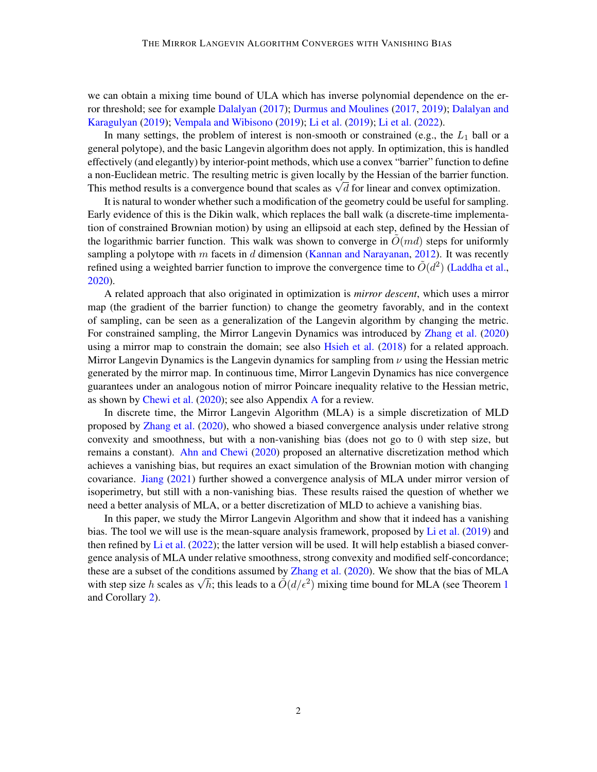we can obtain a mixing time bound of ULA which has inverse polynomial dependence on the error threshold; see for example [Dalalyan](#page-11-4) [\(2017\)](#page-11-4); [Durmus and Moulines](#page-11-5) [\(2017,](#page-11-5) [2019\)](#page-11-6); [Dalalyan and](#page-11-7) [Karagulyan](#page-11-7) [\(2019\)](#page-11-7); [Vempala and Wibisono](#page-12-2) [\(2019\)](#page-12-2); [Li et al.](#page-11-1) [\(2019\)](#page-11-1); [Li et al.](#page-11-2) [\(2022\)](#page-11-2).

In many settings, the problem of interest is non-smooth or constrained (e.g., the  $L_1$  ball or a general polytope), and the basic Langevin algorithm does not apply. In optimization, this is handled effectively (and elegantly) by interior-point methods, which use a convex "barrier" function to define a non-Euclidean metric. The resulting metric is given locally by the Hessian of the barrier function. a non-Euchdean metric. The resulting metric is given locally by the Hessian of the barrier function.<br>This method results is a convergence bound that scales as  $\sqrt{d}$  for linear and convex optimization.

It is natural to wonder whether such a modification of the geometry could be useful for sampling. Early evidence of this is the Dikin walk, which replaces the ball walk (a discrete-time implementation of constrained Brownian motion) by using an ellipsoid at each step, defined by the Hessian of the logarithmic barrier function. This walk was shown to converge in  $\tilde{O}(md)$  steps for uniformly sampling a polytope with m facets in d dimension [\(Kannan and Narayanan,](#page-11-8) [2012\)](#page-11-8). It was recently refined using a weighted barrier function to improve the convergence time to  $\tilde{O}(d^2)$  [\(Laddha et al.,](#page-11-9) [2020\)](#page-11-9).

A related approach that also originated in optimization is *mirror descent*, which uses a mirror map (the gradient of the barrier function) to change the geometry favorably, and in the context of sampling, can be seen as a generalization of the Langevin algorithm by changing the metric. For constrained sampling, the Mirror Langevin Dynamics was introduced by [Zhang et al.](#page-12-0) [\(2020\)](#page-12-0) using a mirror map to constrain the domain; see also [Hsieh et al.](#page-11-10) [\(2018\)](#page-11-10) for a related approach. Mirror Langevin Dynamics is the Langevin dynamics for sampling from  $\nu$  using the Hessian metric generated by the mirror map. In continuous time, Mirror Langevin Dynamics has nice convergence guarantees under an analogous notion of mirror Poincare inequality relative to the Hessian metric, as shown by [Chewi et al.](#page-11-0) [\(2020\)](#page-11-0); see also Appendix [A](#page-12-3) for a review.

In discrete time, the Mirror Langevin Algorithm (MLA) is a simple discretization of MLD proposed by [Zhang et al.](#page-12-0) [\(2020\)](#page-12-0), who showed a biased convergence analysis under relative strong convexity and smoothness, but with a non-vanishing bias (does not go to 0 with step size, but remains a constant). [Ahn and Chewi](#page-10-0) [\(2020\)](#page-10-0) proposed an alternative discretization method which achieves a vanishing bias, but requires an exact simulation of the Brownian motion with changing covariance. [Jiang](#page-11-11) [\(2021\)](#page-11-11) further showed a convergence analysis of MLA under mirror version of isoperimetry, but still with a non-vanishing bias. These results raised the question of whether we need a better analysis of MLA, or a better discretization of MLD to achieve a vanishing bias.

In this paper, we study the Mirror Langevin Algorithm and show that it indeed has a vanishing bias. The tool we will use is the mean-square analysis framework, proposed by [Li et al.](#page-11-1) [\(2019\)](#page-11-1) and then refined by [Li et al.](#page-11-2)  $(2022)$ ; the latter version will be used. It will help establish a biased convergence analysis of MLA under relative smoothness, strong convexity and modified self-concordance; these are a subset of the conditions assumed by [Zhang et al.](#page-12-0) [\(2020\)](#page-12-0). We show that the bias of MLA these are a subset of the conditions assumed by Zhang et al. (2020). We show that the bias of MLA with step size h scales as  $\sqrt{h}$ ; this leads to a  $\tilde{O}(d/\epsilon^2)$  mixing time bound for MLA (see Theorem [1](#page-4-0) and Corollary [2\)](#page-5-0).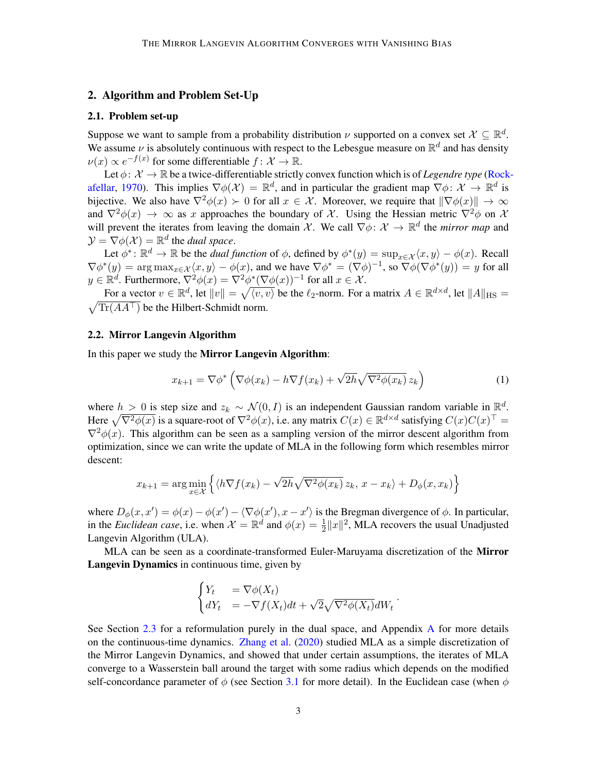## <span id="page-2-1"></span>2. Algorithm and Problem Set-Up

#### 2.1. Problem set-up

Suppose we want to sample from a probability distribution  $\nu$  supported on a convex set  $\mathcal{X} \subseteq \mathbb{R}^d$ . We assume  $\nu$  is absolutely continuous with respect to the Lebesgue measure on  $\mathbb{R}^d$  and has density  $\nu(x) \propto e^{-f(x)}$  for some differentiable  $f: \mathcal{X} \to \mathbb{R}$ .

Let  $\phi: \mathcal{X} \to \mathbb{R}$  be a twice-differentiable strictly convex function which is of *Legendre type* [\(Rock](#page-12-4)[afellar,](#page-12-4) [1970\)](#page-12-4). This implies  $\nabla \phi(\mathcal{X}) = \mathbb{R}^d$ , and in particular the gradient map  $\nabla \phi: \mathcal{X} \to \mathbb{R}^d$  is bijective. We also have  $\nabla^2 \phi(x) \succ 0$  for all  $x \in \mathcal{X}$ . Moreover, we require that  $\|\nabla \phi(x)\| \to \infty$ and  $\nabla^2 \phi(x) \to \infty$  as x approaches the boundary of X. Using the Hessian metric  $\nabla^2 \phi$  on X will prevent the iterates from leaving the domain X. We call  $\nabla \phi \colon X \to \mathbb{R}^d$  the *mirror map* and  $\mathcal{Y} = \nabla \phi(\mathcal{X}) = \mathbb{R}^d$  the *dual space*.

Let  $\phi^*: \mathbb{R}^d \to \mathbb{R}$  be the *dual function* of  $\phi$ , defined by  $\phi^*(y) = \sup_{x \in \mathcal{X}} \langle x, y \rangle - \phi(x)$ . Recall  $\nabla \phi^*(y) = \arg \max_{x \in \mathcal{X}} \langle x, y \rangle - \phi(x)$ , and we have  $\nabla \phi^* = (\nabla \phi)^{-1}$ , so  $\nabla \phi(\nabla \phi^*(y)) = y$  for all  $y \in \mathbb{R}^d$ . Furthermore,  $\nabla^2 \phi(x) = \nabla^2 \phi^* (\nabla \phi(x))^{-1}$  for all  $x \in \mathcal{X}$ .

For a vector  $v \in \mathbb{R}^d$ , let  $||v|| = \sqrt{\langle v, v \rangle}$  be the  $\ell_2$ -norm. For a matrix  $A \in \mathbb{R}^{d \times d}$ , let  $||A||_{\text{HS}} =$  $\sqrt{\text{Tr}(A A^{\top})}$  be the Hilbert-Schmidt norm.

#### 2.2. Mirror Langevin Algorithm

In this paper we study the Mirror Langevin Algorithm:

<span id="page-2-0"></span>
$$
x_{k+1} = \nabla \phi^* \left( \nabla \phi(x_k) - h \nabla f(x_k) + \sqrt{2h} \sqrt{\nabla^2 \phi(x_k)} \, z_k \right) \tag{1}
$$

where  $h > 0$  is step size and  $z_k \sim \mathcal{N}(0, I)$  is an independent Gaussian random variable in  $\mathbb{R}^d$ . Here  $\sqrt{\nabla^2 \phi(x)}$  is a square-root of  $\nabla^2 \phi(x)$ , i.e. any matrix  $C(x) \in \mathbb{R}^{d \times d}$  satisfying  $C(x)C(x)^\top =$  $\nabla^2 \phi(x)$ . This algorithm can be seen as a sampling version of the mirror descent algorithm from optimization, since we can write the update of MLA in the following form which resembles mirror descent:

$$
x_{k+1} = \arg\min_{x \in \mathcal{X}} \left\{ \langle h \nabla f(x_k) - \sqrt{2h} \sqrt{\nabla^2 \phi(x_k)} \, z_k, \, x - x_k \rangle + D_{\phi}(x, x_k) \right\}
$$

where  $D_{\phi}(x, x') = \phi(x) - \phi(x') - \langle \nabla \phi(x'), x - x' \rangle$  is the Bregman divergence of  $\phi$ . In particular, in the *Euclidean case*, i.e. when  $\mathcal{X} = \mathbb{R}^d$  and  $\phi(x) = \frac{1}{2} ||x||^2$ , MLA recovers the usual Unadjusted Langevin Algorithm (ULA).

MLA can be seen as a coordinate-transformed Euler-Maruyama discretization of the Mirror Langevin Dynamics in continuous time, given by

$$
\begin{cases} Y_t &= \nabla \phi(X_t) \\ dY_t &= -\nabla f(X_t)dt + \sqrt{2}\sqrt{\nabla^2 \phi(X_t)}dW_t \end{cases}.
$$

See Section [2.3](#page-3-0) for a reformulation purely in the dual space, and [A](#page-12-3)ppendix A for more details on the continuous-time dynamics. [Zhang et al.](#page-12-0) [\(2020\)](#page-12-0) studied MLA as a simple discretization of the Mirror Langevin Dynamics, and showed that under certain assumptions, the iterates of MLA converge to a Wasserstein ball around the target with some radius which depends on the modified self-concordance parameter of  $\phi$  (see Section [3.1](#page-5-1) for more detail). In the Euclidean case (when  $\phi$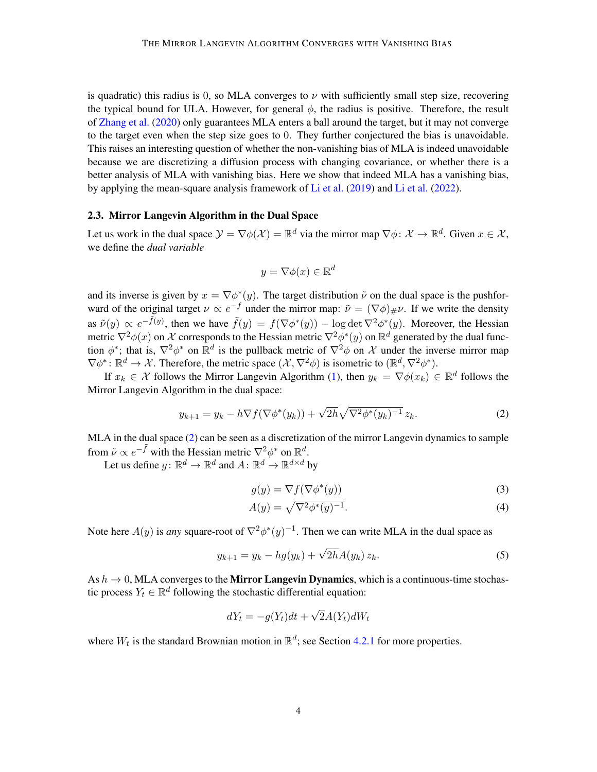is quadratic) this radius is 0, so MLA converges to  $\nu$  with sufficiently small step size, recovering the typical bound for ULA. However, for general  $\phi$ , the radius is positive. Therefore, the result of [Zhang et al.](#page-12-0) [\(2020\)](#page-12-0) only guarantees MLA enters a ball around the target, but it may not converge to the target even when the step size goes to 0. They further conjectured the bias is unavoidable. This raises an interesting question of whether the non-vanishing bias of MLA is indeed unavoidable because we are discretizing a diffusion process with changing covariance, or whether there is a better analysis of MLA with vanishing bias. Here we show that indeed MLA has a vanishing bias, by applying the mean-square analysis framework of [Li et al.](#page-11-1) [\(2019\)](#page-11-1) and [Li et al.](#page-11-2) [\(2022\)](#page-11-2).

## <span id="page-3-0"></span>2.3. Mirror Langevin Algorithm in the Dual Space

Let us work in the dual space  $\mathcal{Y} = \nabla \phi(\mathcal{X}) = \mathbb{R}^d$  via the mirror map  $\nabla \phi: \mathcal{X} \to \mathbb{R}^d$ . Given  $x \in \mathcal{X}$ , we define the *dual variable*

$$
y = \nabla \phi(x) \in \mathbb{R}^d
$$

and its inverse is given by  $x = \nabla \phi^*(y)$ . The target distribution  $\tilde{\nu}$  on the dual space is the pushforward of the original target  $\nu \propto e^{-f}$  under the mirror map:  $\tilde{\nu} = (\nabla \phi)_{\#} \nu$ . If we write the density as  $\tilde{\nu}(y) \propto e^{-\tilde{f}(y)}$ , then we have  $\tilde{f}(y) = f(\nabla \phi^*(y)) - \log \det \nabla^2 \phi^*(y)$ . Moreover, the Hessian metric  $\nabla^2 \phi(x)$  on X corresponds to the Hessian metric  $\nabla^2 \phi^*(y)$  on  $\mathbb{R}^d$  generated by the dual function  $\phi^*$ ; that is,  $\nabla^2 \phi^*$  on  $\mathbb{R}^d$  is the pullback metric of  $\nabla^2 \phi$  on X under the inverse mirror map  $\nabla \phi^* \colon \mathbb{R}^d \to \mathcal{X}$ . Therefore, the metric space  $(\mathcal{X}, \nabla^2 \phi)$  is isometric to  $(\mathbb{R}^d, \nabla^2 \phi^*)$ .

If  $x_k \in \mathcal{X}$  follows the Mirror Langevin Algorithm [\(1\)](#page-2-0), then  $y_k = \nabla \phi(x_k) \in \mathbb{R}^d$  follows the Mirror Langevin Algorithm in the dual space:

$$
y_{k+1} = y_k - h \nabla f(\nabla \phi^*(y_k)) + \sqrt{2h} \sqrt{\nabla^2 \phi^*(y_k)^{-1}} z_k.
$$
 (2)

MLA in the dual space [\(2\)](#page-3-1) can be seen as a discretization of the mirror Langevin dynamics to sample from  $\tilde{\nu} \propto e^{-\tilde{f}}$  with the Hessian metric  $\nabla^2 \phi^*$  on  $\mathbb{R}^d$ .

Let us define  $g \colon \mathbb{R}^d \to \mathbb{R}^d$  and  $A \colon \mathbb{R}^d \to \mathbb{R}^{d \times d}$  by

<span id="page-3-3"></span><span id="page-3-2"></span><span id="page-3-1"></span>
$$
g(y) = \nabla f(\nabla \phi^*(y))
$$
\n(3)

$$
A(y) = \sqrt{\nabla^2 \phi^*(y)^{-1}}.
$$
\n
$$
(4)
$$

Note here  $A(y)$  is *any* square-root of  $\nabla^2 \phi^*(y)^{-1}$ . Then we can write MLA in the dual space as

$$
y_{k+1} = y_k - h g(y_k) + \sqrt{2h} A(y_k) z_k.
$$
 (5)

As  $h \to 0$ , MLA converges to the **Mirror Langevin Dynamics**, which is a continuous-time stochastic process  $Y_t \in \mathbb{R}^d$  following the stochastic differential equation:

$$
dY_t = -g(Y_t)dt + \sqrt{2}A(Y_t)dW_t
$$

where  $W_t$  is the standard Brownian motion in  $\mathbb{R}^d$ ; see Section [4.2.1](#page-8-0) for more properties.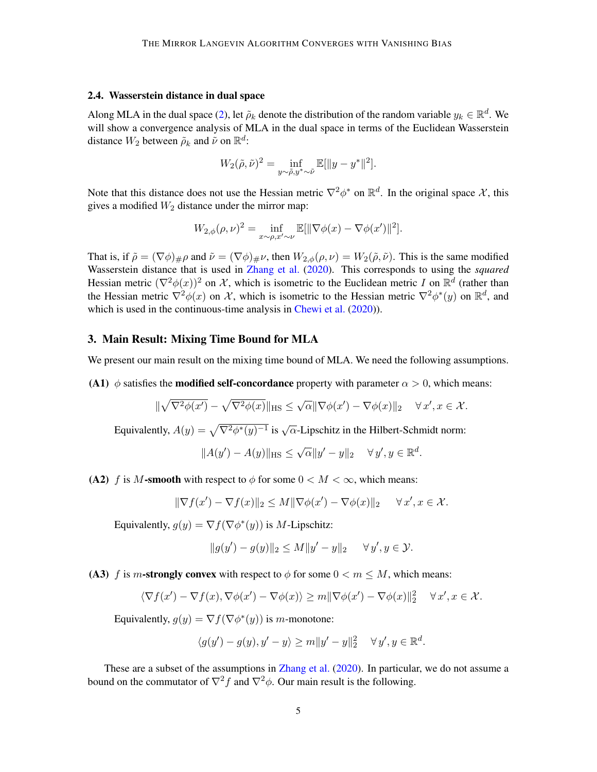#### 2.4. Wasserstein distance in dual space

Along MLA in the dual space [\(2\)](#page-3-1), let  $\tilde{\rho}_k$  denote the distribution of the random variable  $y_k \in \mathbb{R}^d$ . We will show a convergence analysis of MLA in the dual space in terms of the Euclidean Wasserstein distance  $W_2$  between  $\tilde{\rho}_k$  and  $\tilde{\nu}$  on  $\mathbb{R}^d$ :

$$
W_2(\tilde{\rho}, \tilde{\nu})^2 = \inf_{y \sim \tilde{\rho}, y^* \sim \tilde{\nu}} \mathbb{E}[\|y - y^*\|^2].
$$

Note that this distance does not use the Hessian metric  $\nabla^2 \phi^*$  on  $\mathbb{R}^d$ . In the original space X, this gives a modified  $W_2$  distance under the mirror map:

$$
W_{2,\phi}(\rho,\nu)^2 = \inf_{x \sim \rho, x' \sim \nu} \mathbb{E}[\|\nabla \phi(x) - \nabla \phi(x')\|^2].
$$

That is, if  $\tilde{\rho} = (\nabla \phi)_{\#} \rho$  and  $\tilde{\nu} = (\nabla \phi)_{\#} \nu$ , then  $W_{2,\phi}(\rho,\nu) = W_2(\tilde{\rho},\tilde{\nu})$ . This is the same modified Wasserstein distance that is used in [Zhang et al.](#page-12-0) [\(2020\)](#page-12-0). This corresponds to using the *squared* Hessian metric  $(\nabla^2 \phi(x))^2$  on X, which is isometric to the Euclidean metric I on  $\mathbb{R}^d$  (rather than the Hessian metric  $\nabla^2 \phi(x)$  on X, which is isometric to the Hessian metric  $\nabla^2 \phi^*(y)$  on  $\mathbb{R}^d$ , and which is used in the continuous-time analysis in [Chewi et al.](#page-11-0) [\(2020\)](#page-11-0)).

## 3. Main Result: Mixing Time Bound for MLA

We present our main result on the mixing time bound of MLA. We need the following assumptions.

(A1)  $\phi$  satisfies the **modified self-concordance** property with parameter  $\alpha > 0$ , which means:

$$
\|\sqrt{\nabla^2\phi(x')} - \sqrt{\nabla^2\phi(x)}\|_{\text{HS}} \le \sqrt{\alpha}\|\nabla\phi(x') - \nabla\phi(x)\|_2 \quad \forall x', x \in \mathcal{X}.
$$

Equivalently,  $A(y) = \sqrt{\nabla^2 \phi^*(y)^{-1}}$  is  $\sqrt{\alpha}$ -Lipschitz in the Hilbert-Schmidt norm:

$$
||A(y') - A(y)||_{\text{HS}} \le \sqrt{\alpha} ||y' - y||_2 \quad \forall y', y \in \mathbb{R}^d.
$$

(A2) f is M-smooth with respect to  $\phi$  for some  $0 < M < \infty$ , which means:

$$
\|\nabla f(x') - \nabla f(x)\|_2 \le M \|\nabla \phi(x') - \nabla \phi(x)\|_2 \quad \forall x', x \in \mathcal{X}.
$$

Equivalently,  $g(y) = \nabla f(\nabla \phi^*(y))$  is M-Lipschitz:

$$
||g(y') - g(y)||_2 \le M||y' - y||_2 \quad \forall y', y \in \mathcal{Y}.
$$

(A3) f is m-strongly convex with respect to  $\phi$  for some  $0 < m \le M$ , which means:

$$
\langle \nabla f(x') - \nabla f(x), \nabla \phi(x') - \nabla \phi(x) \rangle \ge m \|\nabla \phi(x') - \nabla \phi(x)\|_2^2 \quad \forall x', x \in \mathcal{X}.
$$

Equivalently,  $g(y) = \nabla f(\nabla \phi^*(y))$  is m-monotone:

$$
\langle g(y') - g(y), y' - y \rangle \ge m \|y' - y\|_2^2 \quad \forall y', y \in \mathbb{R}^d.
$$

<span id="page-4-0"></span>These are a subset of the assumptions in [Zhang et al.](#page-12-0) [\(2020\)](#page-12-0). In particular, we do not assume a bound on the commutator of  $\nabla^2 f$  and  $\nabla^2 \phi$ . Our main result is the following.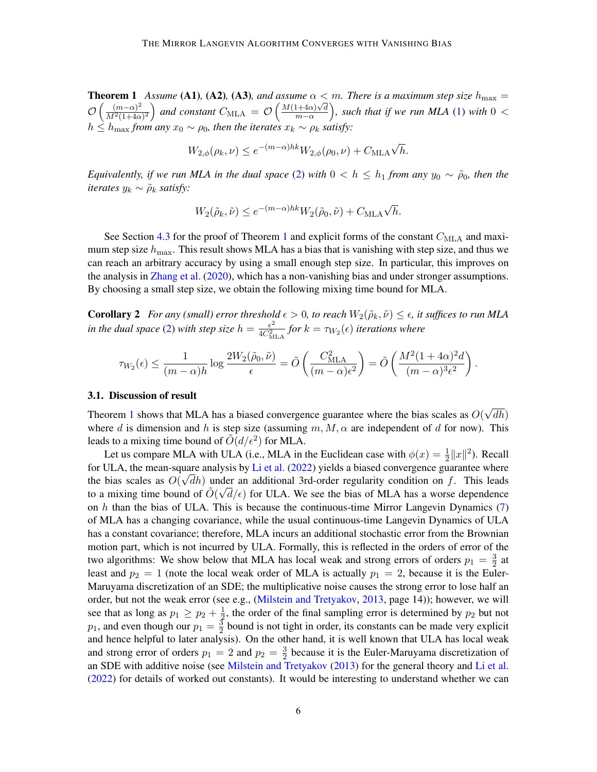**Theorem 1** Assume (A1), (A2), (A3), and assume  $\alpha < m$ . There is a maximum step size  $h_{\text{max}} =$  $\mathcal{O}\left(\frac{(m-\alpha)^2}{M^2(1+4\alpha)}\right)$ **Solution** Assume (A1), (A2), (A3), and assume  $\alpha <$ <br> $\frac{(m-\alpha)^2}{M^2(1+4\alpha)^2}$  and constant  $C_{\text{MLA}} = \mathcal{O}\left(\frac{M(1+4\alpha)\sqrt{d}}{m-\alpha}\right)$  $\frac{(1+4\alpha)\sqrt{d}}{m-\alpha}$ ), such that if we run MLA [\(1\)](#page-2-0) with  $0<\infty$  $h \leq h_{\text{max}}$  *from any*  $x_0 \sim \rho_0$ , then the iterates  $x_k \sim \rho_k$  satisfy:

$$
W_{2,\phi}(\rho_k,\nu) \leq e^{-(m-\alpha)hk} W_{2,\phi}(\rho_0,\nu) + C_{\text{MLA}} \sqrt{h}.
$$

*Equivalently, if we run MLA in the dual space* [\(2\)](#page-3-1) *with*  $0 < h \le h_1$  *from any*  $y_0 \sim \tilde{\rho}_0$ *, then the iterates*  $y_k \sim \tilde{\rho}_k$  *satisfy:* 

$$
W_2(\tilde{\rho}_k, \tilde{\nu}) \le e^{-(m-\alpha)hk} W_2(\tilde{\rho}_0, \tilde{\nu}) + C_{\text{MLA}} \sqrt{h}.
$$

See Section [4.3](#page-9-0) for the proof of Theorem [1](#page-4-0) and explicit forms of the constant  $C_{\text{MLA}}$  and maximum step size  $h_{\text{max}}$ . This result shows MLA has a bias that is vanishing with step size, and thus we can reach an arbitrary accuracy by using a small enough step size. In particular, this improves on the analysis in [Zhang et al.](#page-12-0) [\(2020\)](#page-12-0), which has a non-vanishing bias and under stronger assumptions. By choosing a small step size, we obtain the following mixing time bound for MLA.

<span id="page-5-0"></span>**Corollary 2** For any (small) error threshold  $\epsilon > 0$ , to reach  $W_2(\tilde{\rho}_k, \tilde{\nu}) \leq \epsilon$ , it suffices to run MLA *in the dual space* [\(2\)](#page-3-1) with step size  $h = \frac{\epsilon^2}{4C^2}$  $\frac{\epsilon^2}{4C_{\text{MLA}}^2}$  for  $k = \tau_{W_2}(\epsilon)$  *iterations where* 

$$
\tau_{W_2}(\epsilon) \leq \frac{1}{(m-\alpha)h} \log \frac{2W_2(\tilde{\rho}_0, \tilde{\nu})}{\epsilon} = \tilde{O}\left(\frac{C_{\text{MLA}}^2}{(m-\alpha)\epsilon^2}\right) = \tilde{O}\left(\frac{M^2(1+4\alpha)^2d}{(m-\alpha)^3\epsilon^2}\right).
$$

#### <span id="page-5-1"></span>3.1. Discussion of result

Theorem [1](#page-4-0) shows that MLA has a biased convergence guarantee where the bias scales as  $O($ √  $dh)$ where d is dimension and h is step size (assuming  $m, M, \alpha$  are independent of d for now). This leads to a mixing time bound of  $\tilde{O}(d/\epsilon^2)$  for MLA.

Let us compare MLA with ULA (i.e., MLA in the Euclidean case with  $\phi(x) = \frac{1}{2} ||x||^2$ ). Recall for ULA, the mean-square analysis by [Li et al.](#page-11-2)  $(2022)$  yields a biased convergence guarantee where the bias scales as  $O(\sqrt{dh})$  under an additional 3rd-order regularity condition on f. This leads to a mixing time bound of  $\tilde{O}(\sqrt{d}/\epsilon)$  for ULA. We see the bias of MLA has a worse dependence on  $h$  than the bias of ULA. This is because the continuous-time Mirror Langevin Dynamics  $(7)$ of MLA has a changing covariance, while the usual continuous-time Langevin Dynamics of ULA has a constant covariance; therefore, MLA incurs an additional stochastic error from the Brownian motion part, which is not incurred by ULA. Formally, this is reflected in the orders of error of the two algorithms: We show below that MLA has local weak and strong errors of orders  $p_1 = \frac{3}{2}$  $\frac{3}{2}$  at least and  $p_2 = 1$  (note the local weak order of MLA is actually  $p_1 = 2$ , because it is the Euler-Maruyama discretization of an SDE; the multiplicative noise causes the strong error to lose half an order, but not the weak error (see e.g., [\(Milstein and Tretyakov,](#page-11-12) [2013,](#page-11-12) page 14)); however, we will see that as long as  $p_1 \geq p_2 + \frac{1}{2}$  $\frac{1}{2}$ , the order of the final sampling error is determined by  $p_2$  but not  $p_1$ , and even though our  $p_1 = \frac{3}{2}$  $\frac{3}{2}$  bound is not tight in order, its constants can be made very explicit and hence helpful to later analysis). On the other hand, it is well known that ULA has local weak and strong error of orders  $p_1 = 2$  and  $p_2 = \frac{3}{2}$  $\frac{3}{2}$  because it is the Euler-Maruyama discretization of an SDE with additive noise (see [Milstein and Tretyakov](#page-11-12) [\(2013\)](#page-11-12) for the general theory and [Li et al.](#page-11-2) [\(2022\)](#page-11-2) for details of worked out constants). It would be interesting to understand whether we can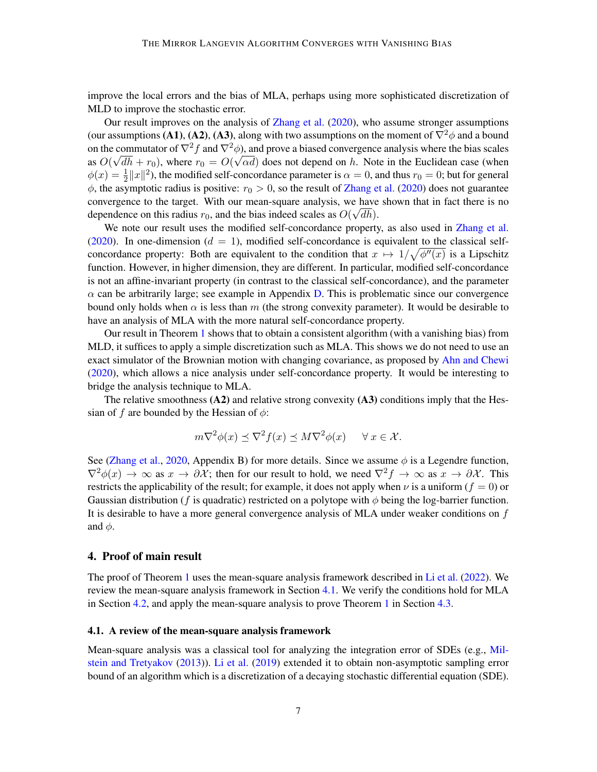improve the local errors and the bias of MLA, perhaps using more sophisticated discretization of MLD to improve the stochastic error.

Our result improves on the analysis of [Zhang et al.](#page-12-0) [\(2020\)](#page-12-0), who assume stronger assumptions (our assumptions (A1), (A2), (A3), along with two assumptions on the moment of  $\nabla^2 \phi$  and a bound on the commutator of  $\nabla^2 f$  and  $\nabla^2 \phi$ ), and prove a biased convergence analysis where the bias scales as  $O(\sqrt{dh} + r_0)$ , where  $r_0 = O(\sqrt{\alpha d})$  does not depend on h. Note in the Euclidean case (when  $\phi(x) = \frac{1}{2} ||x||^2$ ), the modified self-concordance parameter is  $\alpha = 0$ , and thus  $r_0 = 0$ ; but for general  $\phi$ , the asymptotic radius is positive:  $r_0 > 0$ , so the result of [Zhang et al.](#page-12-0) [\(2020\)](#page-12-0) does not guarantee convergence to the target. With our mean-square analysis, we have shown that in fact there is no dependence on this radius  $r_0$ , and the bias indeed scales as  $O(\sqrt{dh})$ .

We note our result uses the modified self-concordance property, as also used in [Zhang et al.](#page-12-0) [\(2020\)](#page-12-0). In one-dimension ( $d = 1$ ), modified self-concordance is equivalent to the classical selfconcordance property: Both are equivalent to the condition that  $x \mapsto 1/\sqrt{\phi''(x)}$  is a Lipschitz function. However, in higher dimension, they are different. In particular, modified self-concordance is not an affine-invariant property (in contrast to the classical self-concordance), and the parameter  $\alpha$  can be arbitrarily large; see example in Appendix [D.](#page-21-0) This is problematic since our convergence bound only holds when  $\alpha$  is less than m (the strong convexity parameter). It would be desirable to have an analysis of MLA with the more natural self-concordance property.

Our result in Theorem [1](#page-4-0) shows that to obtain a consistent algorithm (with a vanishing bias) from MLD, it suffices to apply a simple discretization such as MLA. This shows we do not need to use an exact simulator of the Brownian motion with changing covariance, as proposed by [Ahn and Chewi](#page-10-0) [\(2020\)](#page-10-0), which allows a nice analysis under self-concordance property. It would be interesting to bridge the analysis technique to MLA.

The relative smoothness  $(A2)$  and relative strong convexity  $(A3)$  conditions imply that the Hessian of f are bounded by the Hessian of  $\phi$ :

$$
m\nabla^2 \phi(x) \preceq \nabla^2 f(x) \preceq M\nabla^2 \phi(x) \quad \forall x \in \mathcal{X}.
$$

See [\(Zhang et al.,](#page-12-0) [2020,](#page-12-0) Appendix B) for more details. Since we assume  $\phi$  is a Legendre function,  $\nabla^2 \phi(x) \to \infty$  as  $x \to \partial \mathcal{X}$ ; then for our result to hold, we need  $\nabla^2 f \to \infty$  as  $x \to \partial \mathcal{X}$ . This restricts the applicability of the result; for example, it does not apply when  $\nu$  is a uniform ( $f = 0$ ) or Gaussian distribution (f is quadratic) restricted on a polytope with  $\phi$  being the log-barrier function. It is desirable to have a more general convergence analysis of MLA under weaker conditions on  $f$ and  $\phi$ .

## 4. Proof of main result

The proof of Theorem [1](#page-4-0) uses the mean-square analysis framework described in [Li et al.](#page-11-2) [\(2022\)](#page-11-2). We review the mean-square analysis framework in Section [4.1.](#page-6-0) We verify the conditions hold for MLA in Section [4.2,](#page-8-2) and apply the mean-square analysis to prove Theorem [1](#page-4-0) in Section [4.3.](#page-9-0)

#### <span id="page-6-0"></span>4.1. A review of the mean-square analysis framework

Mean-square analysis was a classical tool for analyzing the integration error of SDEs (e.g., [Mil](#page-11-12)[stein and Tretyakov](#page-11-12) [\(2013\)](#page-11-12)). [Li et al.](#page-11-1) [\(2019\)](#page-11-1) extended it to obtain non-asymptotic sampling error bound of an algorithm which is a discretization of a decaying stochastic differential equation (SDE).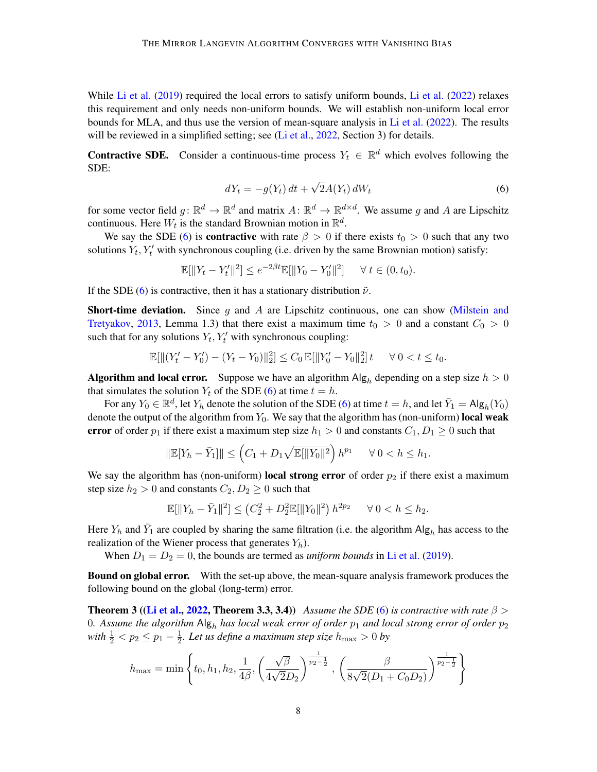While [Li et al.](#page-11-2)  $(2019)$  required the local errors to satisfy uniform bounds, Li et al.  $(2022)$  relaxes this requirement and only needs non-uniform bounds. We will establish non-uniform local error bounds for MLA, and thus use the version of mean-square analysis in [Li et al.](#page-11-2) [\(2022\)](#page-11-2). The results will be reviewed in a simplified setting; see [\(Li et al.,](#page-11-2) [2022,](#page-11-2) Section 3) for details.

**Contractive SDE.** Consider a continuous-time process  $Y_t \in \mathbb{R}^d$  which evolves following the SDE:

<span id="page-7-0"></span>
$$
dY_t = -g(Y_t) dt + \sqrt{2}A(Y_t) dW_t
$$
\n(6)

for some vector field  $g: \mathbb{R}^d \to \mathbb{R}^d$  and matrix  $A: \mathbb{R}^d \to \mathbb{R}^{d \times d}$ . We assume g and A are Lipschitz continuous. Here  $W_t$  is the standard Brownian motion in  $\mathbb{R}^d$ .

We say the SDE [\(6\)](#page-7-0) is **contractive** with rate  $\beta > 0$  if there exists  $t_0 > 0$  such that any two solutions  $Y_t, Y_t'$  with synchronous coupling (i.e. driven by the same Brownian motion) satisfy:

$$
\mathbb{E}[\|Y_t - Y'_t\|^2] \le e^{-2\beta t} \mathbb{E}[\|Y_0 - Y'_0\|^2] \quad \forall \ t \in (0, t_0).
$$

If the SDE [\(6\)](#page-7-0) is contractive, then it has a stationary distribution  $\tilde{\nu}$ .

**Short-time deviation.** Since q and A are Lipschitz continuous, one can show [\(Milstein and](#page-11-12) [Tretyakov,](#page-11-12) [2013,](#page-11-12) Lemma 1.3) that there exist a maximum time  $t_0 > 0$  and a constant  $C_0 > 0$ such that for any solutions  $Y_t, Y_t'$  with synchronous coupling:

$$
\mathbb{E}[\|(Y'_t - Y'_0) - (Y_t - Y_0)\|_2^2] \le C_0 \mathbb{E}[\|Y'_0 - Y_0\|_2^2] \, t \quad \forall \, 0 < t \le t_0.
$$

**Algorithm and local error.** Suppose we have an algorithm  $\text{Alg}_h$  depending on a step size  $h > 0$ that simulates the solution  $Y_t$  of the SDE [\(6\)](#page-7-0) at time  $t = h$ .

For any  $Y_0 \in \mathbb{R}^d$ , let  $Y_h$  denote the solution of the SDE [\(6\)](#page-7-0) at time  $t = h$ , and let  $\bar{Y}_1 = \mathsf{Alg}_h(Y_0)$ denote the output of the algorithm from  $Y_0$ . We say that the algorithm has (non-uniform) local weak error of order  $p_1$  if there exist a maximum step size  $h_1 > 0$  and constants  $C_1, D_1 \geq 0$  such that

$$
\|\mathbb{E}[Y_h - \bar{Y}_1]\| \le \left(C_1 + D_1\sqrt{\mathbb{E}[\|Y_0\|^2}\right)h^{p_1} \quad \forall \ 0 < h \le h_1.
$$

We say the algorithm has (non-uniform) local strong error of order  $p_2$  if there exist a maximum step size  $h_2 > 0$  and constants  $C_2, D_2 \geq 0$  such that

$$
\mathbb{E}[\|Y_h - \bar{Y}_1\|^2] \le (C_2^2 + D_2^2 \mathbb{E}[\|Y_0\|^2) h^{2p_2} \quad \forall \ 0 < h \le h_2.
$$

Here  $Y_h$  and  $\bar{Y}_1$  are coupled by sharing the same filtration (i.e. the algorithm  $\text{Alg}_h$  has access to the realization of the Wiener process that generates  $Y_h$ ).

When  $D_1 = D_2 = 0$ , the bounds are termed as *uniform bounds* in [Li et al.](#page-11-1) [\(2019\)](#page-11-1).

**Bound on global error.** With the set-up above, the mean-square analysis framework produces the following bound on the global (long-term) error.

<span id="page-7-1"></span>**Theorem 3 ([\(Li et al.,](#page-11-2) [2022,](#page-11-2) Theorem 3.3, 3.4))** *Assume the SDE* [\(6\)](#page-7-0) *is contractive with rate*  $\beta$  > 0. Assume the algorithm  $\text{Alg}_h$  has local weak error of order  $p_1$  and local strong error of order  $p_2$ *with*  $\frac{1}{2} < p_2 \le p_1 - \frac{1}{2}$  $\frac{1}{2}$ . Let us define a maximum step size  $h_{\text{max}} > 0$  by

$$
h_{\max} = \min\left\{t_0, h_1, h_2, \frac{1}{4\beta}, \left(\frac{\sqrt{\beta}}{4\sqrt{2}D_2}\right)^{\frac{1}{p_2 - \frac{1}{2}}}, \left(\frac{\beta}{8\sqrt{2}(D_1 + C_0D_2)}\right)^{\frac{1}{p_2 - \frac{1}{2}}}\right\}
$$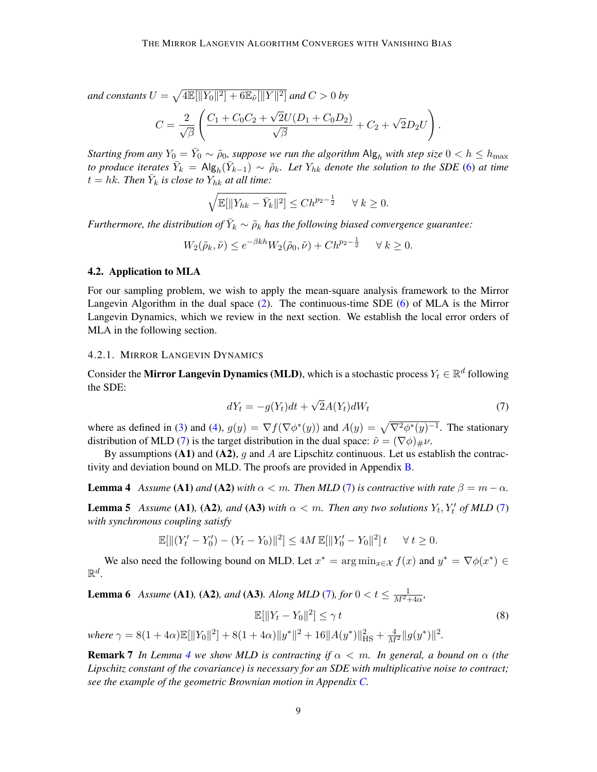and constants  $U = \sqrt{4\mathbb{E}[\|Y_0\|^2] + 6\mathbb{E}_{\tilde{\nu}}[\|Y\|^2]}$  and  $C > 0$  by

$$
C = \frac{2}{\sqrt{\beta}} \left( \frac{C_1 + C_0 C_2 + \sqrt{2}U(D_1 + C_0 D_2)}{\sqrt{\beta}} + C_2 + \sqrt{2}D_2 U \right).
$$

*Starting from any*  $Y_0 = \bar{Y}_0 \sim \tilde{\rho}_0$ , suppose we run the algorithm  $\mathsf{Alg}_h$  with step size  $0 < h \le h_{\max}$ *to produce iterates*  $\bar{Y}_k = \mathsf{Alg}_h(\bar{Y}_{k-1}) \sim \tilde{\rho}_k$ . Let  $Y_{hk}$  denote the solution to the SDE [\(6\)](#page-7-0) at time  $t = hk$ . Then  $\bar{Y}_k$  is close to  $Y_{hk}$  at all time:

$$
\sqrt{\mathbb{E}[\|Y_{hk} - \bar{Y}_k\|^2]} \le C h^{p_2 - \frac{1}{2}} \quad \forall \ k \ge 0.
$$

*Furthermore, the distribution of*  $\bar{Y}_k \sim \tilde{\rho}_k$  has the following biased convergence guarantee:

$$
W_2(\tilde{\rho}_k, \tilde{\nu}) \le e^{-\beta kh} W_2(\tilde{\rho}_0, \tilde{\nu}) + Ch^{p_2 - \frac{1}{2}} \quad \forall \ k \ge 0.
$$

#### <span id="page-8-2"></span>4.2. Application to MLA

For our sampling problem, we wish to apply the mean-square analysis framework to the Mirror Langevin Algorithm in the dual space [\(2\)](#page-3-1). The continuous-time SDE [\(6\)](#page-7-0) of MLA is the Mirror Langevin Dynamics, which we review in the next section. We establish the local error orders of MLA in the following section.

#### <span id="page-8-0"></span>4.2.1. MIRROR LANGEVIN DYNAMICS

Consider the Mirror Langevin Dynamics (MLD), which is a stochastic process  $Y_t \in \mathbb{R}^d$  following the SDE:

<span id="page-8-1"></span>
$$
dY_t = -g(Y_t)dt + \sqrt{2}A(Y_t)dW_t
$$
\n(7)

where as defined in [\(3\)](#page-3-2) and [\(4\)](#page-3-3),  $g(y) = \nabla f(\nabla \phi^*(y))$  and  $A(y) = \sqrt{\nabla^2 \phi^*(y)^{-1}}$ . The stationary distribution of MLD [\(7\)](#page-8-1) is the target distribution in the dual space:  $\tilde{\nu} = (\nabla \phi)_{\mu} \nu$ .

By assumptions (A1) and (A2), g and A are Lipschitz continuous. Let us establish the contractivity and deviation bound on MLD. The proofs are provided in Appendix [B.](#page-15-0)

<span id="page-8-3"></span>**Lemma 4** *Assume* (A1) *and* (A2) *with*  $\alpha < m$ *. Then MLD* [\(7\)](#page-8-1) *is contractive with rate*  $\beta = m - \alpha$ *.* 

<span id="page-8-4"></span>**Lemma 5** Assume (A1), (A2), and (A3) with  $\alpha < m$ . Then any two solutions  $Y_t, Y_t'$  of MLD [\(7\)](#page-8-1) *with synchronous coupling satisfy*

$$
\mathbb{E}[\|(Y'_t - Y'_0) - (Y_t - Y_0)\|^2] \le 4M \mathbb{E}[\|Y'_0 - Y_0\|^2]t \quad \forall t \ge 0.
$$

We also need the following bound on MLD. Let  $x^* = \arg \min_{x \in \mathcal{X}} f(x)$  and  $y^* = \nabla \phi(x^*) \in$  $\mathbb{R}^d$ .

<span id="page-8-5"></span>**Lemma 6** *Assume* (**A1**), (**A2**)*, and* (**A3**)*. Along MLD* (7*), for*  $0 < t \le \frac{1}{M^2 + 4\alpha}$ *,* 

$$
\mathbb{E}[\|Y_t - Y_0\|^2] \le \gamma t
$$
  
\nwhere  $\gamma = 8(1 + 4\alpha)\mathbb{E}[\|Y_0\|^2] + 8(1 + 4\alpha)\|y^*\|^2 + 16\|A(y^*)\|_{\text{HS}}^2 + \frac{4}{M^2}\|g(y^*)\|^2.$  (8)

**Remark 7** In Lemma [4](#page-8-3) we show MLD is contracting if  $\alpha < m$ . In general, a bound on  $\alpha$  (the *Lipschitz constant of the covariance) is necessary for an SDE with multiplicative noise to contract; see the example of the geometric Brownian motion in Appendix [C.](#page-20-0)*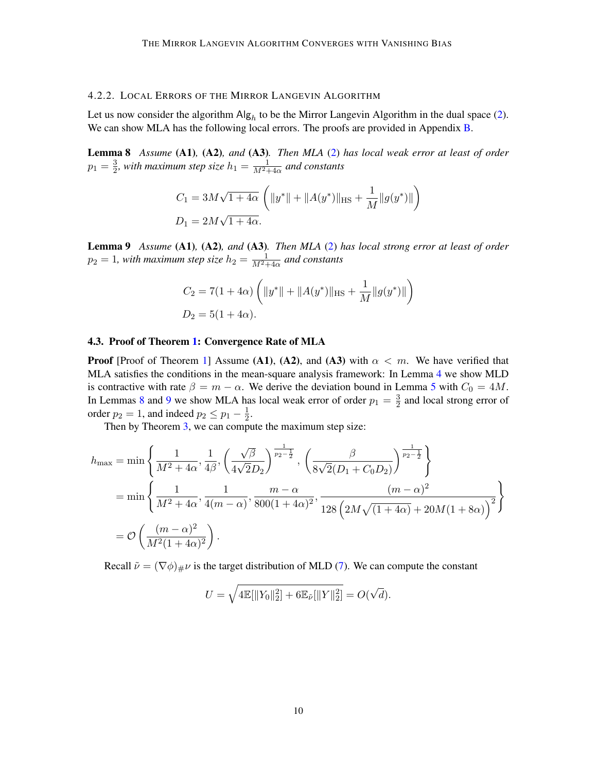## 4.2.2. LOCAL ERRORS OF THE MIRROR LANGEVIN ALGORITHM

Let us now consider the algorithm  $\text{Alg}_h$  to be the Mirror Langevin Algorithm in the dual space [\(2\)](#page-3-1). We can show MLA has the following local errors. The proofs are provided in Appendix [B.](#page-15-0)

<span id="page-9-1"></span>Lemma 8 *Assume* (A1)*,* (A2)*, and* (A3)*. Then MLA* [\(2\)](#page-3-1) *has local weak error at least of order*  $p_1 = \frac{3}{2}$  $\frac{3}{2}$ , with maximum step size  $h_1=\frac{1}{M^2+4\alpha}$  and constants

$$
C_1 = 3M\sqrt{1+4\alpha} \left( ||y^*|| + ||A(y^*)||_{\text{HS}} + \frac{1}{M} ||g(y^*)|| \right)
$$
  

$$
D_1 = 2M\sqrt{1+4\alpha}.
$$

<span id="page-9-2"></span>Lemma 9 *Assume* (A1)*,* (A2)*, and* (A3)*. Then MLA* [\(2\)](#page-3-1) *has local strong error at least of order*  $p_2 = 1$ , with maximum step size  $h_2 = \frac{1}{M^2+4\alpha}$  and constants

$$
C_2 = 7(1 + 4\alpha) \left( ||y^*|| + ||A(y^*)||_{\text{HS}} + \frac{1}{M} ||g(y^*)|| \right)
$$
  

$$
D_2 = 5(1 + 4\alpha).
$$

#### <span id="page-9-0"></span>4.3. Proof of Theorem [1:](#page-4-0) Convergence Rate of MLA

**Proof** [Proof of Theorem [1\]](#page-4-0) Assume (A1), (A2), and (A3) with  $\alpha < m$ . We have verified that MLA satisfies the conditions in the mean-square analysis framework: In Lemma [4](#page-8-3) we show MLD is contractive with rate  $\beta = m - \alpha$ . We derive the deviation bound in Lemma [5](#page-8-4) with  $C_0 = 4M$ . In Lemmas [8](#page-9-1) and [9](#page-9-2) we show MLA has local weak error of order  $p_1 = \frac{3}{2}$  $\frac{3}{2}$  and local strong error of order  $p_2 = 1$ , and indeed  $p_2 \leq p_1 - \frac{1}{2}$  $rac{1}{2}$ .

Then by Theorem [3,](#page-7-1) we can compute the maximum step size:

$$
h_{\max} = \min \left\{ \frac{1}{M^2 + 4\alpha}, \frac{1}{4\beta}, \left( \frac{\sqrt{\beta}}{4\sqrt{2}D_2} \right)^{\frac{1}{p_2 - \frac{1}{2}}}, \left( \frac{\beta}{8\sqrt{2}(D_1 + C_0 D_2)} \right)^{\frac{1}{p_2 - \frac{1}{2}}} \right\}
$$
  
= 
$$
\min \left\{ \frac{1}{M^2 + 4\alpha}, \frac{1}{4(m - \alpha)}, \frac{m - \alpha}{800(1 + 4\alpha)^2}, \frac{(m - \alpha)^2}{128 \left( 2M\sqrt{(1 + 4\alpha)} + 20M(1 + 8\alpha) \right)^2} \right\}
$$
  
= 
$$
\mathcal{O}\left( \frac{(m - \alpha)^2}{M^2(1 + 4\alpha)^2} \right).
$$

Recall  $\tilde{\nu} = (\nabla \phi)_{\#} \nu$  is the target distribution of MLD [\(7\)](#page-8-1). We can compute the constant

$$
U = \sqrt{\text{4}\mathbb{E}[\|Y_0\|_2^2] + 6\mathbb{E}_{\tilde{\nu}}[\|Y\|_2^2]} = O(\sqrt{d}).
$$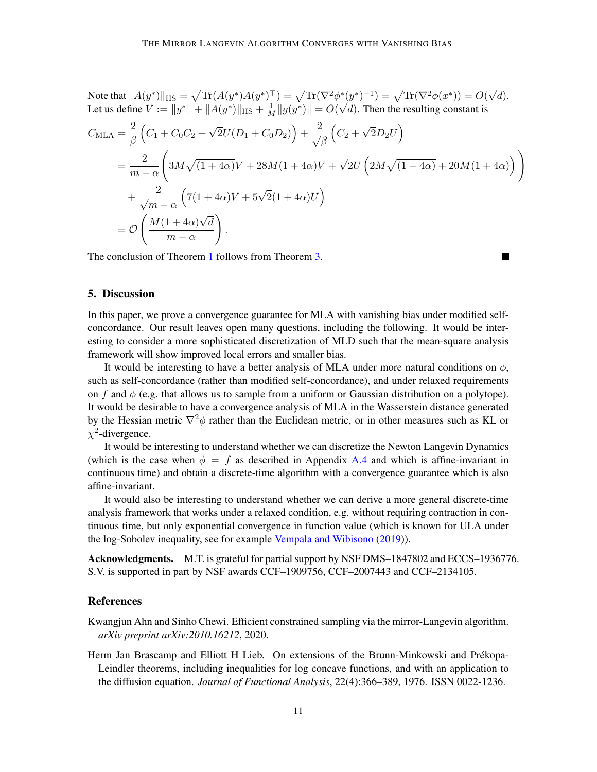Note that  $\|A(y^*)\|_{\mathrm{HS}} = \sqrt{\mathrm{Tr}(A(y^*)A(y^*)^\top)} = \sqrt{\mathrm{Tr}(\nabla^2\phi^*(y^*)^{-1})} = \sqrt{\mathrm{Tr}(\nabla^2\phi(x^*))} = O(\varepsilon)$ √ d). Let us define  $V := \|y^*\| + \|A(y^*)\|_{\text{HS}} + \frac{1}{M} \|g(y^*)\| = O(\frac{1}{\sqrt{2\pi}})$ √  $d$ ). Then the resulting constant is  $C_{\text{MLA}} = \frac{2}{\rho}$ β  $\Big(C_1 + C_0C_2 +$ √  $\left( \overline{2}U(D_1 + C_0D_2) \right) + \frac{2}{\sqrt{2}}$ β  $\left(C_2 +\right)$ √  $\overline{2}D_2U\Big)$  $=\frac{2}{\sqrt{2}}$  $m - \alpha$  $\sqrt{ }$  $3M\sqrt{(1+4\alpha)}V+28M(1+4\alpha)V+$ √  $\overline{2}U\left(2M\sqrt{(1+4\alpha)}+20M(1+4\alpha)\right)\right)$  $+\frac{2}{\sqrt{2}}$  $\overline{m-\alpha}$  $(7(1+4\alpha)V + 5\sqrt{2}(1+4\alpha)U)$  $=$   $\mathcal{O}$  $\int M(1+4\alpha)$ √ d  $m - \alpha$  $\setminus$ .

The conclusion of Theorem [1](#page-4-0) follows from Theorem [3.](#page-7-1)

## 5. Discussion

In this paper, we prove a convergence guarantee for MLA with vanishing bias under modified selfconcordance. Our result leaves open many questions, including the following. It would be interesting to consider a more sophisticated discretization of MLD such that the mean-square analysis framework will show improved local errors and smaller bias.

It would be interesting to have a better analysis of MLA under more natural conditions on  $\phi$ , such as self-concordance (rather than modified self-concordance), and under relaxed requirements on f and  $\phi$  (e.g. that allows us to sample from a uniform or Gaussian distribution on a polytope). It would be desirable to have a convergence analysis of MLA in the Wasserstein distance generated by the Hessian metric  $\nabla^2 \phi$  rather than the Euclidean metric, or in other measures such as KL or  $\chi^2$ -divergence.

It would be interesting to understand whether we can discretize the Newton Langevin Dynamics (which is the case when  $\phi = f$  as described in Appendix [A.4](#page-15-1) and which is affine-invariant in continuous time) and obtain a discrete-time algorithm with a convergence guarantee which is also affine-invariant.

It would also be interesting to understand whether we can derive a more general discrete-time analysis framework that works under a relaxed condition, e.g. without requiring contraction in continuous time, but only exponential convergence in function value (which is known for ULA under the log-Sobolev inequality, see for example [Vempala and Wibisono](#page-12-2) [\(2019\)](#page-12-2)).

Acknowledgments. M.T. is grateful for partial support by NSF DMS–1847802 and ECCS–1936776. S.V. is supported in part by NSF awards CCF–1909756, CCF–2007443 and CCF–2134105.

## References

<span id="page-10-0"></span>Kwangjun Ahn and Sinho Chewi. Efficient constrained sampling via the mirror-Langevin algorithm. *arXiv preprint arXiv:2010.16212*, 2020.

<span id="page-10-1"></span>Herm Jan Brascamp and Elliott H Lieb. On extensions of the Brunn-Minkowski and Prekopa- ´ Leindler theorems, including inequalities for log concave functions, and with an application to the diffusion equation. *Journal of Functional Analysis*, 22(4):366–389, 1976. ISSN 0022-1236.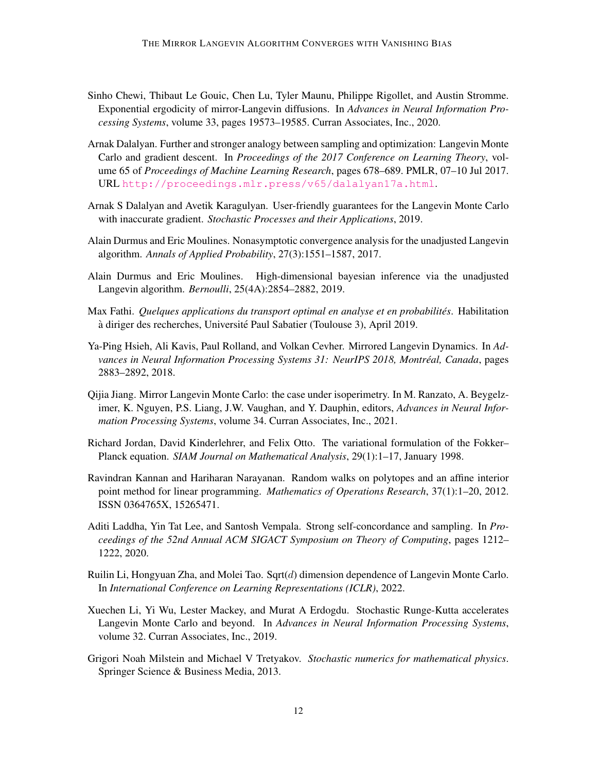- <span id="page-11-0"></span>Sinho Chewi, Thibaut Le Gouic, Chen Lu, Tyler Maunu, Philippe Rigollet, and Austin Stromme. Exponential ergodicity of mirror-Langevin diffusions. In *Advances in Neural Information Processing Systems*, volume 33, pages 19573–19585. Curran Associates, Inc., 2020.
- <span id="page-11-4"></span>Arnak Dalalyan. Further and stronger analogy between sampling and optimization: Langevin Monte Carlo and gradient descent. In *Proceedings of the 2017 Conference on Learning Theory*, volume 65 of *Proceedings of Machine Learning Research*, pages 678–689. PMLR, 07–10 Jul 2017. URL <http://proceedings.mlr.press/v65/dalalyan17a.html>.
- <span id="page-11-7"></span>Arnak S Dalalyan and Avetik Karagulyan. User-friendly guarantees for the Langevin Monte Carlo with inaccurate gradient. *Stochastic Processes and their Applications*, 2019.
- <span id="page-11-5"></span>Alain Durmus and Eric Moulines. Nonasymptotic convergence analysis for the unadjusted Langevin algorithm. *Annals of Applied Probability*, 27(3):1551–1587, 2017.
- <span id="page-11-6"></span>Alain Durmus and Eric Moulines. High-dimensional bayesian inference via the unadjusted Langevin algorithm. *Bernoulli*, 25(4A):2854–2882, 2019.
- <span id="page-11-13"></span>Max Fathi. *Quelques applications du transport optimal en analyse et en probabilités*. Habilitation à diriger des recherches, Université Paul Sabatier (Toulouse 3), April 2019.
- <span id="page-11-10"></span>Ya-Ping Hsieh, Ali Kavis, Paul Rolland, and Volkan Cevher. Mirrored Langevin Dynamics. In *Advances in Neural Information Processing Systems 31: NeurIPS 2018, Montréal, Canada, pages* 2883–2892, 2018.
- <span id="page-11-11"></span>Qijia Jiang. Mirror Langevin Monte Carlo: the case under isoperimetry. In M. Ranzato, A. Beygelzimer, K. Nguyen, P.S. Liang, J.W. Vaughan, and Y. Dauphin, editors, *Advances in Neural Information Processing Systems*, volume 34. Curran Associates, Inc., 2021.
- <span id="page-11-3"></span>Richard Jordan, David Kinderlehrer, and Felix Otto. The variational formulation of the Fokker– Planck equation. *SIAM Journal on Mathematical Analysis*, 29(1):1–17, January 1998.
- <span id="page-11-8"></span>Ravindran Kannan and Hariharan Narayanan. Random walks on polytopes and an affine interior point method for linear programming. *Mathematics of Operations Research*, 37(1):1–20, 2012. ISSN 0364765X, 15265471.
- <span id="page-11-9"></span>Aditi Laddha, Yin Tat Lee, and Santosh Vempala. Strong self-concordance and sampling. In *Proceedings of the 52nd Annual ACM SIGACT Symposium on Theory of Computing*, pages 1212– 1222, 2020.
- <span id="page-11-2"></span>Ruilin Li, Hongyuan Zha, and Molei Tao. Sqrt $(d)$  dimension dependence of Langevin Monte Carlo. In *International Conference on Learning Representations (ICLR)*, 2022.
- <span id="page-11-1"></span>Xuechen Li, Yi Wu, Lester Mackey, and Murat A Erdogdu. Stochastic Runge-Kutta accelerates Langevin Monte Carlo and beyond. In *Advances in Neural Information Processing Systems*, volume 32. Curran Associates, Inc., 2019.
- <span id="page-11-12"></span>Grigori Noah Milstein and Michael V Tretyakov. *Stochastic numerics for mathematical physics*. Springer Science & Business Media, 2013.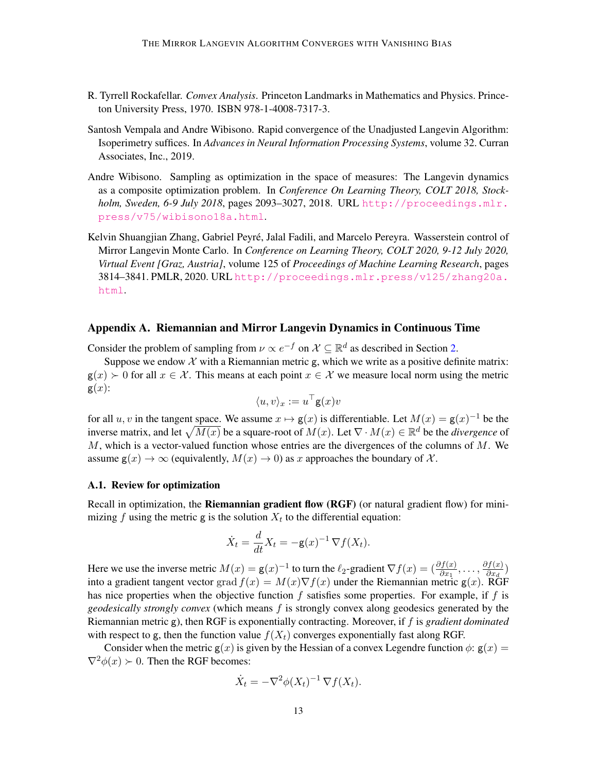- <span id="page-12-4"></span>R. Tyrrell Rockafellar. *Convex Analysis*. Princeton Landmarks in Mathematics and Physics. Princeton University Press, 1970. ISBN 978-1-4008-7317-3.
- <span id="page-12-2"></span>Santosh Vempala and Andre Wibisono. Rapid convergence of the Unadjusted Langevin Algorithm: Isoperimetry suffices. In *Advances in Neural Information Processing Systems*, volume 32. Curran Associates, Inc., 2019.
- <span id="page-12-1"></span>Andre Wibisono. Sampling as optimization in the space of measures: The Langevin dynamics as a composite optimization problem. In *Conference On Learning Theory, COLT 2018, Stockholm, Sweden, 6-9 July 2018*, pages 2093–3027, 2018. URL [http://proceedings.mlr.](http://proceedings.mlr.press/v75/wibisono18a.html) [press/v75/wibisono18a.html](http://proceedings.mlr.press/v75/wibisono18a.html).
- <span id="page-12-0"></span>Kelvin Shuangjian Zhang, Gabriel Peyré, Jalal Fadili, and Marcelo Pereyra. Wasserstein control of Mirror Langevin Monte Carlo. In *Conference on Learning Theory, COLT 2020, 9-12 July 2020, Virtual Event [Graz, Austria]*, volume 125 of *Proceedings of Machine Learning Research*, pages 3814–3841. PMLR, 2020. URL [http://proceedings.mlr.press/v125/zhang20a.](http://proceedings.mlr.press/v125/zhang20a.html) [html](http://proceedings.mlr.press/v125/zhang20a.html).

## <span id="page-12-3"></span>Appendix A. Riemannian and Mirror Langevin Dynamics in Continuous Time

Consider the problem of sampling from  $\nu \propto e^{-f}$  on  $\mathcal{X} \subseteq \mathbb{R}^d$  as described in Section [2.](#page-2-1)

Suppose we endow  $\mathcal X$  with a Riemannian metric g, which we write as a positive definite matrix:  $g(x) > 0$  for all  $x \in \mathcal{X}$ . This means at each point  $x \in \mathcal{X}$  we measure local norm using the metric  $g(x)$ :

$$
\langle u,v\rangle_x:=u^\top \mathsf{g}(x)v
$$

for all  $u, v$  in the tangent space. We assume  $x \mapsto g(x)$  is differentiable. Let  $M(x) = g(x)^{-1}$  be the inverse matrix, and let  $\sqrt{M(x)}$  be a square-root of  $M(x)$ . Let  $\nabla \cdot M(x) \in \mathbb{R}^d$  be the *divergence* of  $M$ , which is a vector-valued function whose entries are the divergences of the columns of  $M$ . We assume  $g(x) \to \infty$  (equivalently,  $M(x) \to 0$ ) as x approaches the boundary of X.

#### A.1. Review for optimization

Recall in optimization, the **Riemannian gradient flow (RGF)** (or natural gradient flow) for minimizing f using the metric g is the solution  $X_t$  to the differential equation:

$$
\dot{X}_t = \frac{d}{dt} X_t = -\mathsf{g}(x)^{-1} \nabla f(X_t).
$$

Here we use the inverse metric  $M(x) = g(x)^{-1}$  to turn the  $\ell_2$ -gradient  $\nabla f(x) = \left(\frac{\partial f(x)}{\partial x_1}, \ldots, \frac{\partial f(x)}{\partial x_d}\right)$  $\frac{\partial f(x)}{\partial x_d}$ into a gradient tangent vector grad  $f(x) = M(x) \nabla f(x)$  under the Riemannian metric  $g(x)$ . RGF has nice properties when the objective function  $f$  satisfies some properties. For example, if  $f$  is *geodesically strongly convex* (which means f is strongly convex along geodesics generated by the Riemannian metric g), then RGF is exponentially contracting. Moreover, if f is *gradient dominated* with respect to g, then the function value  $f(X_t)$  converges exponentially fast along RGF.

Consider when the metric  $g(x)$  is given by the Hessian of a convex Legendre function  $\phi$ :  $g(x)$  =  $\nabla^2 \phi(x) \succ 0$ . Then the RGF becomes:

$$
\dot{X}_t = -\nabla^2 \phi(X_t)^{-1} \nabla f(X_t).
$$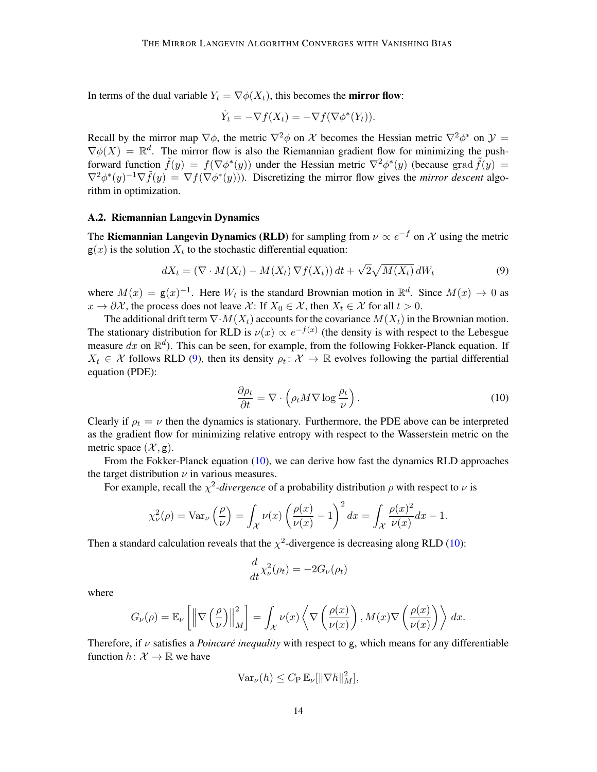In terms of the dual variable  $Y_t = \nabla \phi(X_t)$ , this becomes the **mirror flow**:

$$
\dot{Y}_t = -\nabla f(X_t) = -\nabla f(\nabla \phi^*(Y_t)).
$$

Recall by the mirror map  $\nabla \phi$ , the metric  $\nabla^2 \phi$  on X becomes the Hessian metric  $\nabla^2 \phi^*$  on  $\mathcal{Y} =$  $\nabla \phi(X) = \mathbb{R}^d$ . The mirror flow is also the Riemannian gradient flow for minimizing the pushforward function  $\tilde{f}(y) = f(\nabla \phi^*(y))$  under the Hessian metric  $\nabla^2 \phi^*(y)$  (because grad  $\tilde{f}(y) = f(\nabla \phi^*(y))$  $\nabla^2 \phi^*(y)^{-1} \nabla \tilde{f}(y) = \nabla f(\nabla \phi^*(y))$ . Discretizing the mirror flow gives the *mirror descent* algorithm in optimization.

#### A.2. Riemannian Langevin Dynamics

The **Riemannian Langevin Dynamics (RLD)** for sampling from  $\nu \propto e^{-f}$  on X using the metric  $g(x)$  is the solution  $X_t$  to the stochastic differential equation:

$$
dX_t = (\nabla \cdot M(X_t) - M(X_t) \nabla f(X_t)) dt + \sqrt{2} \sqrt{M(X_t)} dW_t
$$
\n(9)

where  $M(x) = g(x)^{-1}$ . Here  $W_t$  is the standard Brownian motion in  $\mathbb{R}^d$ . Since  $M(x) \to 0$  as  $x \to \partial \mathcal{X}$ , the process does not leave X: If  $X_0 \in \mathcal{X}$ , then  $X_t \in \mathcal{X}$  for all  $t > 0$ .

The additional drift term  $\nabla \cdot M(X_t)$  accounts for the covariance  $M(X_t)$  in the Brownian motion. The stationary distribution for RLD is  $\nu(x) \propto e^{-f(x)}$  (the density is with respect to the Lebesgue measure dx on  $\mathbb{R}^d$ ). This can be seen, for example, from the following Fokker-Planck equation. If  $X_t \in \mathcal{X}$  follows RLD [\(9\)](#page-13-0), then its density  $\rho_t \colon \mathcal{X} \to \mathbb{R}$  evolves following the partial differential equation (PDE):

<span id="page-13-1"></span><span id="page-13-0"></span>
$$
\frac{\partial \rho_t}{\partial t} = \nabla \cdot \left( \rho_t M \nabla \log \frac{\rho_t}{\nu} \right). \tag{10}
$$

Clearly if  $\rho_t = \nu$  then the dynamics is stationary. Furthermore, the PDE above can be interpreted as the gradient flow for minimizing relative entropy with respect to the Wasserstein metric on the metric space  $(\mathcal{X}, g)$ .

From the Fokker-Planck equation [\(10\)](#page-13-1), we can derive how fast the dynamics RLD approaches the target distribution  $\nu$  in various measures.

For example, recall the  $\chi^2$ -divergence of a probability distribution  $\rho$  with respect to  $\nu$  is

$$
\chi_{\nu}^{2}(\rho) = \text{Var}_{\nu}\left(\frac{\rho}{\nu}\right) = \int_{\mathcal{X}} \nu(x) \left(\frac{\rho(x)}{\nu(x)} - 1\right)^{2} dx = \int_{\mathcal{X}} \frac{\rho(x)^{2}}{\nu(x)} dx - 1.
$$

Then a standard calculation reveals that the  $\chi^2$ -divergence is decreasing along RLD [\(10\)](#page-13-1):

$$
\frac{d}{dt}\chi_{\nu}^{2}(\rho_{t})=-2G_{\nu}(\rho_{t})
$$

where

$$
G_{\nu}(\rho) = \mathbb{E}_{\nu} \left[ \left\| \nabla \left( \frac{\rho}{\nu} \right) \right\|_{M}^{2} \right] = \int_{\mathcal{X}} \nu(x) \left\langle \nabla \left( \frac{\rho(x)}{\nu(x)} \right), M(x) \nabla \left( \frac{\rho(x)}{\nu(x)} \right) \right\rangle dx.
$$

Therefore, if  $\nu$  satisfies a *Poincaré inequality* with respect to g, which means for any differentiable function  $h: \mathcal{X} \to \mathbb{R}$  we have

$$
\text{Var}_{\nu}(h) \leq C_{\text{P}} \, \mathbb{E}_{\nu}[\|\nabla h\|_{M}^{2}],
$$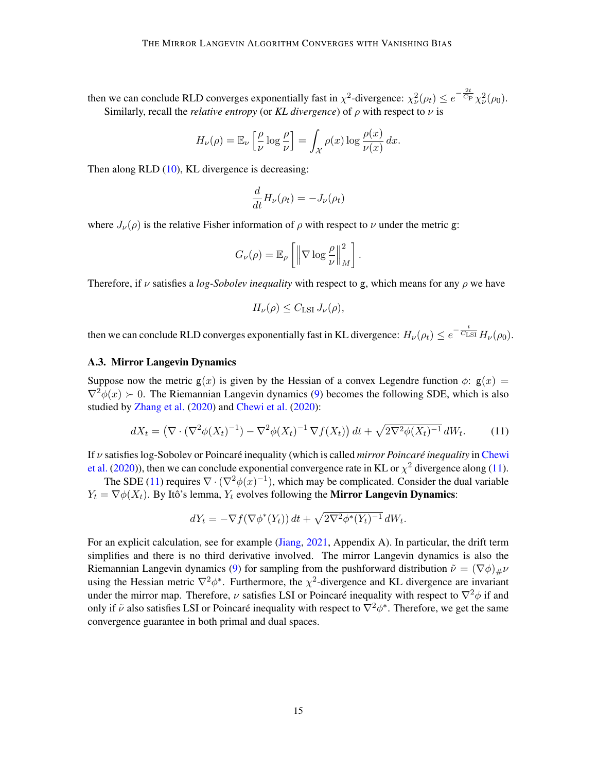then we can conclude RLD converges exponentially fast in  $\chi^2$ -divergence:  $\chi^2_{\nu}(\rho_t) \le e^{-\frac{2t}{C_{\rm P}}} \chi^2_{\nu}(\rho_0)$ . Similarly, recall the *relative entropy* (or *KL divergence*) of  $\rho$  with respect to  $\nu$  is

$$
H_{\nu}(\rho) = \mathbb{E}_{\nu} \left[ \frac{\rho}{\nu} \log \frac{\rho}{\nu} \right] = \int_{\mathcal{X}} \rho(x) \log \frac{\rho(x)}{\nu(x)} dx.
$$

Then along RLD [\(10\)](#page-13-1), KL divergence is decreasing:

$$
\frac{d}{dt}H_{\nu}(\rho_t) = -J_{\nu}(\rho_t)
$$

where  $J_{\nu}(\rho)$  is the relative Fisher information of  $\rho$  with respect to  $\nu$  under the metric g:

$$
G_{\nu}(\rho) = \mathbb{E}_{\rho} \left[ \left\| \nabla \log \frac{\rho}{\nu} \right\|_{M}^{2} \right].
$$

Therefore, if  $\nu$  satisfies a *log-Sobolev inequality* with respect to g, which means for any  $\rho$  we have

<span id="page-14-0"></span>
$$
H_{\nu}(\rho) \leq C_{\mathrm{LSI}} J_{\nu}(\rho),
$$

then we can conclude RLD converges exponentially fast in KL divergence:  $H_\nu(\rho_t) \leq e^{-\frac{t}{C_{\rm LSI}}} H_\nu(\rho_0)$ .

#### A.3. Mirror Langevin Dynamics

Suppose now the metric  $g(x)$  is given by the Hessian of a convex Legendre function  $\phi$ :  $g(x)$  =  $\nabla^2 \phi(x) \succ 0$ . The Riemannian Langevin dynamics [\(9\)](#page-13-0) becomes the following SDE, which is also studied by [Zhang et al.](#page-12-0) [\(2020\)](#page-12-0) and [Chewi et al.](#page-11-0) [\(2020\)](#page-11-0):

$$
dX_t = \left(\nabla \cdot (\nabla^2 \phi(X_t)^{-1}) - \nabla^2 \phi(X_t)^{-1} \nabla f(X_t)\right) dt + \sqrt{2 \nabla^2 \phi(X_t)^{-1}} dW_t.
$$
 (11)

If *ν* satisfies log-Sobolev or Poincaré inequality (which is called *mirror Poincaré inequality* in [Chewi](#page-11-0) [et al.](#page-11-0) [\(2020\)](#page-11-0)), then we can conclude exponential convergence rate in KL or  $\chi^2$  divergence along [\(11\)](#page-14-0).

The SDE [\(11\)](#page-14-0) requires  $\nabla \cdot (\nabla^2 \phi(x)^{-1})$ , which may be complicated. Consider the dual variable  $Y_t = \nabla \phi(X_t)$ . By Itô's lemma,  $Y_t$  evolves following the **Mirror Langevin Dynamics**:

$$
dY_t = -\nabla f(\nabla \phi^*(Y_t)) dt + \sqrt{2\nabla^2 \phi^*(Y_t)^{-1}} dW_t.
$$

For an explicit calculation, see for example [\(Jiang,](#page-11-11) [2021,](#page-11-11) Appendix A). In particular, the drift term simplifies and there is no third derivative involved. The mirror Langevin dynamics is also the Riemannian Langevin dynamics [\(9\)](#page-13-0) for sampling from the pushforward distribution  $\tilde{\nu} = (\nabla \phi)_{\mu} \nu$ using the Hessian metric  $\nabla^2 \phi^*$ . Furthermore, the  $\chi^2$ -divergence and KL divergence are invariant under the mirror map. Therefore,  $\nu$  satisfies LSI or Poincaré inequality with respect to  $\nabla^2 \phi$  if and only if  $\tilde{\nu}$  also satisfies LSI or Poincaré inequality with respect to  $\nabla^2 \phi^*$ . Therefore, we get the same convergence guarantee in both primal and dual spaces.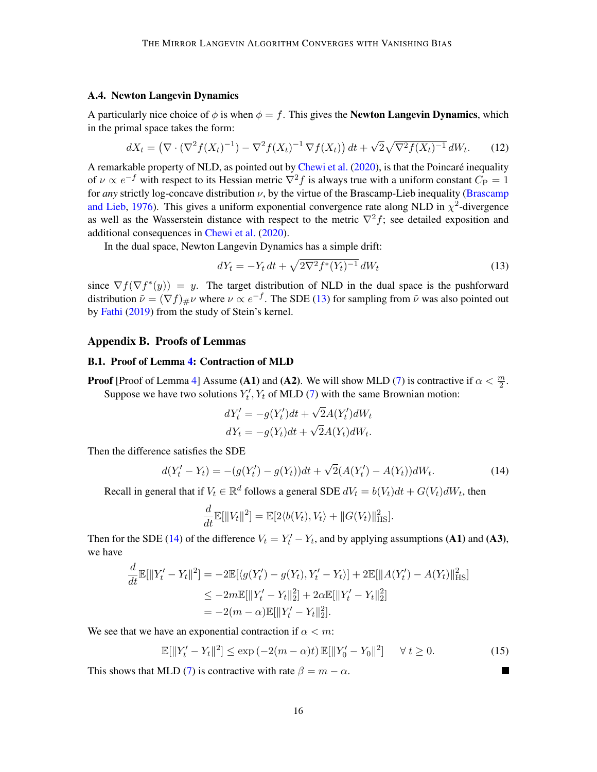## <span id="page-15-1"></span>A.4. Newton Langevin Dynamics

A particularly nice choice of  $\phi$  is when  $\phi = f$ . This gives the **Newton Langevin Dynamics**, which in the primal space takes the form:

$$
dX_t = \left(\nabla \cdot (\nabla^2 f(X_t)^{-1}) - \nabla^2 f(X_t)^{-1} \nabla f(X_t)\right) dt + \sqrt{2} \sqrt{\nabla^2 f(X_t)^{-1}} dW_t.
$$
 (12)

A remarkable property of NLD, as pointed out by [Chewi et al.](#page-11-0) [\(2020\)](#page-11-0), is that the Poincaré inequality of  $\nu \propto e^{-f}$  with respect to its Hessian metric  $\nabla^2 f$  is always true with a uniform constant  $C_{\rm P} = 1$ for *any* strictly log-concave distribution  $\nu$ , by the virtue of the Brascamp-Lieb inequality [\(Brascamp](#page-10-1) [and Lieb,](#page-10-1) [1976\)](#page-10-1). This gives a uniform exponential convergence rate along NLD in  $\chi^2$ -divergence as well as the Wasserstein distance with respect to the metric  $\nabla^2 f$ ; see detailed exposition and additional consequences in [Chewi et al.](#page-11-0) [\(2020\)](#page-11-0).

In the dual space, Newton Langevin Dynamics has a simple drift:

<span id="page-15-5"></span><span id="page-15-2"></span>
$$
dY_t = -Y_t dt + \sqrt{2\nabla^2 f^*(Y_t)^{-1}} dW_t
$$
\n(13)

since  $\nabla f(\nabla f^*(y)) = y$ . The target distribution of NLD in the dual space is the pushforward distribution  $\tilde{\nu} = (\nabla f)_{\#} \nu$  where  $\nu \propto e^{-f}$ . The SDE [\(13\)](#page-15-2) for sampling from  $\tilde{\nu}$  was also pointed out by [Fathi](#page-11-13) [\(2019\)](#page-11-13) from the study of Stein's kernel.

#### <span id="page-15-0"></span>Appendix B. Proofs of Lemmas

#### B.1. Proof of Lemma [4:](#page-8-3) Contraction of MLD

**Proof** [Proof of Lemma [4\]](#page-8-3) Assume (A1) and (A2). We will show MLD [\(7\)](#page-8-1) is contractive if  $\alpha < \frac{m}{2}$ . Suppose we have two solutions  $Y_t'$ ,  $Y_t$  of MLD [\(7\)](#page-8-1) with the same Brownian motion:

$$
dY'_t = -g(Y'_t)dt + \sqrt{2}A(Y'_t)dW_t
$$
  

$$
dY_t = -g(Y_t)dt + \sqrt{2}A(Y_t)dW_t.
$$

Then the difference satisfies the SDE

$$
d(Y'_t - Y_t) = -(g(Y'_t) - g(Y_t))dt + \sqrt{2}(A(Y'_t) - A(Y_t))dW_t.
$$
\n(14)

Recall in general that if  $V_t \in \mathbb{R}^d$  follows a general SDE  $dV_t = b(V_t)dt + G(V_t)dW_t$ , then

$$
\frac{d}{dt}\mathbb{E}[\|V_t\|^2] = \mathbb{E}[2\langle b(V_t), V_t \rangle + \|G(V_t)\|_{\text{HS}}^2].
$$

Then for the SDE [\(14\)](#page-15-3) of the difference  $V_t = Y'_t - Y_t$ , and by applying assumptions (A1) and (A3), we have

$$
\frac{d}{dt}\mathbb{E}[\|Y'_t - Y_t\|^2] = -2\mathbb{E}[\langle g(Y'_t) - g(Y_t), Y'_t - Y_t \rangle] + 2\mathbb{E}[\|A(Y'_t) - A(Y_t)\|_{\text{HS}}^2]
$$
\n
$$
\leq -2m\mathbb{E}[\|Y'_t - Y_t\|_2^2] + 2\alpha \mathbb{E}[\|Y'_t - Y_t\|_2^2]
$$
\n
$$
= -2(m - \alpha)\mathbb{E}[\|Y'_t - Y_t\|_2^2].
$$

We see that we have an exponential contraction if  $\alpha < m$ :

$$
\mathbb{E}[\|Y'_t - Y_t\|^2] \le \exp(-2(m - \alpha)t) \mathbb{E}[\|Y'_0 - Y_0\|^2] \quad \forall \ t \ge 0. \tag{15}
$$

<span id="page-15-4"></span><span id="page-15-3"></span> $\blacksquare$ 

This shows that MLD [\(7\)](#page-8-1) is contractive with rate  $\beta = m - \alpha$ .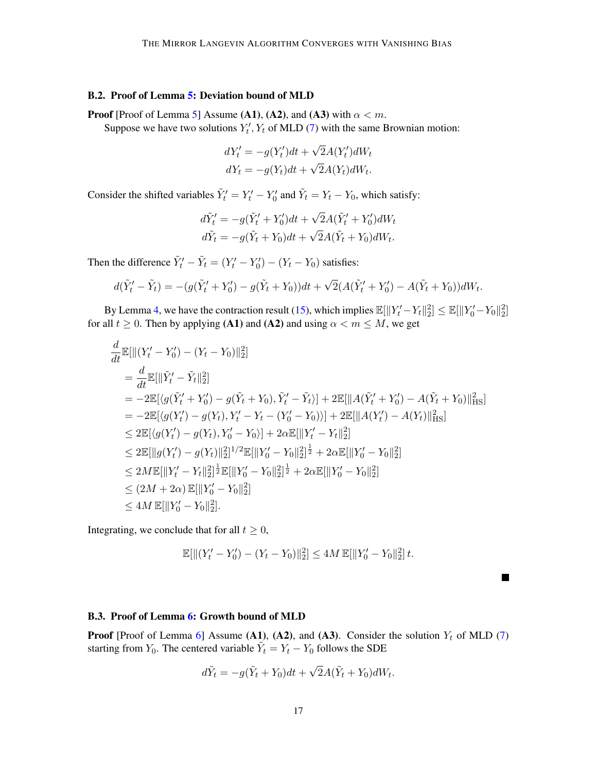## B.2. Proof of Lemma [5:](#page-8-4) Deviation bound of MLD

**Proof** [Proof of Lemma [5\]](#page-8-4) Assume (A1), (A2), and (A3) with  $\alpha < m$ . Suppose we have two solutions  $Y_t'$ ,  $Y_t$  of MLD [\(7\)](#page-8-1) with the same Brownian motion:

$$
dY'_t = -g(Y'_t)dt + \sqrt{2}A(Y'_t)dW_t
$$
  

$$
dY_t = -g(Y_t)dt + \sqrt{2}A(Y_t)dW_t.
$$

Consider the shifted variables  $\tilde{Y}'_t = Y'_t - Y'_0$  and  $\tilde{Y}_t = Y_t - Y_0$ , which satisfy:

$$
d\tilde{Y}'_t = -g(\tilde{Y}'_t + Y'_0)dt + \sqrt{2}A(\tilde{Y}'_t + Y'_0)dW_t
$$
  

$$
d\tilde{Y}_t = -g(\tilde{Y}_t + Y_0)dt + \sqrt{2}A(\tilde{Y}_t + Y_0)dW_t.
$$

Then the difference  $\tilde{Y}'_t - \tilde{Y}_t = (Y'_t - Y'_0) - (Y_t - Y_0)$  satisfies:

$$
d(\tilde{Y}'_t - \tilde{Y}_t) = -(g(\tilde{Y}'_t + Y'_0) - g(\tilde{Y}_t + Y_0))dt + \sqrt{2}(A(\tilde{Y}'_t + Y'_0) - A(\tilde{Y}_t + Y_0))dW_t.
$$

By Lemma [4,](#page-8-3) we have the contraction result [\(15\)](#page-15-4), which implies  $\mathbb{E}[\|Y_t'-Y_t\|_2^2] \leq \mathbb{E}[\|Y_0'-Y_0\|_2^2]$ for all  $t \geq 0$ . Then by applying (A1) and (A2) and using  $\alpha < m \leq M$ , we get

$$
\frac{d}{dt}\mathbb{E}[\| (Y'_t - Y'_0) - (Y_t - Y_0)\|_2^2]
$$
\n  
\n
$$
= \frac{d}{dt}\mathbb{E}[\|\tilde{Y}'_t - \tilde{Y}_t\|_2^2]
$$
\n  
\n
$$
= -2\mathbb{E}[\langle g(\tilde{Y}'_t + Y'_0) - g(\tilde{Y}_t + Y_0), \tilde{Y}'_t - \tilde{Y}_t \rangle] + 2\mathbb{E}[\|A(\tilde{Y}'_t + Y'_0) - A(\tilde{Y}_t + Y_0)\|_{\text{HS}}^2]
$$
\n  
\n
$$
= -2\mathbb{E}[\langle g(Y'_t) - g(Y_t), Y'_t - Y_t - (Y'_0 - Y_0) \rangle] + 2\mathbb{E}[\|A(Y'_t) - A(Y_t)\|_{\text{HS}}^2]
$$
\n  
\n
$$
\leq 2\mathbb{E}[\langle g(Y'_t) - g(Y_t), Y'_0 - Y_0 \rangle] + 2\alpha \mathbb{E}[\|Y'_t - Y_t\|_2^2]
$$
\n  
\n
$$
\leq 2\mathbb{E}[\|g(Y'_t) - g(Y_t)\|_2^2]^{1/2}\mathbb{E}[\|Y'_0 - Y_0\|_2^2]^{\frac{1}{2}} + 2\alpha \mathbb{E}[\|Y'_0 - Y_0\|_2^2]
$$
\n  
\n
$$
\leq 2M\mathbb{E}[\|Y'_t - Y_t\|_2^2]^{\frac{1}{2}}\mathbb{E}[\|Y'_0 - Y_0\|_2^2]^{\frac{1}{2}} + 2\alpha \mathbb{E}[\|Y'_0 - Y_0\|_2^2]
$$
\n  
\n
$$
\leq (2M + 2\alpha)\mathbb{E}[\|Y'_0 - Y_0\|_2^2]
$$
\n  
\n
$$
\leq 4M\mathbb{E}[\|Y'_0 - Y_0\|_2^2].
$$

Integrating, we conclude that for all  $t \geq 0$ ,

$$
\mathbb{E}[\|(Y'_t - Y'_0) - (Y_t - Y_0)\|_2^2] \le 4M \mathbb{E}[\|Y'_0 - Y_0\|_2^2] t.
$$

П

## B.3. Proof of Lemma [6:](#page-8-5) Growth bound of MLD

**Proof** [Proof of Lemma [6\]](#page-8-5) Assume (A1), (A2), and (A3). Consider the solution  $Y_t$  of MLD [\(7\)](#page-8-1) starting from  $Y_0$ . The centered variable  $\tilde{Y}_t = Y_t - Y_0$  follows the SDE

$$
d\tilde{Y}_t = -g(\tilde{Y}_t + Y_0)dt + \sqrt{2}A(\tilde{Y}_t + Y_0)dW_t.
$$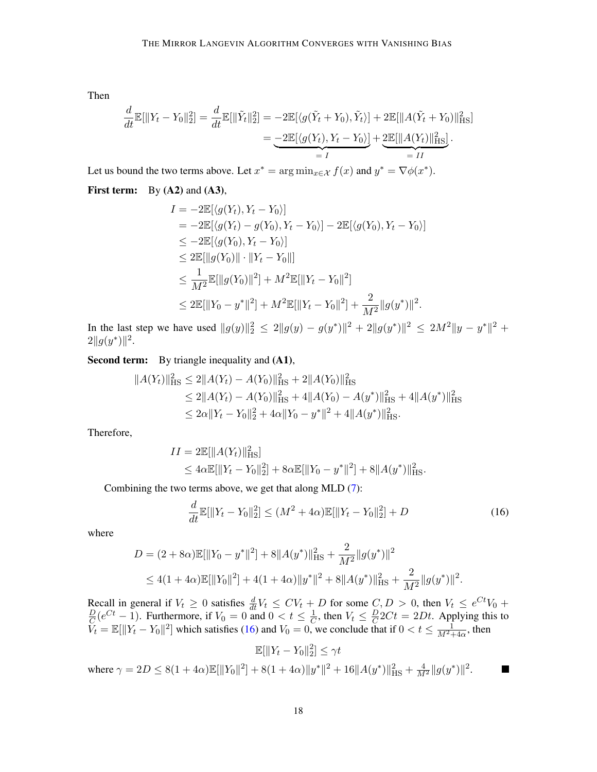Then

$$
\frac{d}{dt}\mathbb{E}[\|Y_t - Y_0\|_2^2] = \frac{d}{dt}\mathbb{E}[\|\tilde{Y}_t\|_2^2] = -2\mathbb{E}[\langle g(\tilde{Y}_t + Y_0), \tilde{Y}_t \rangle] + 2\mathbb{E}[\|A(\tilde{Y}_t + Y_0)\|_{\text{HS}}^2] \n= -2\mathbb{E}[\langle g(Y_t), Y_t - Y_0 \rangle] + 2\mathbb{E}[\|A(Y_t)\|_{\text{HS}}^2] \n= I
$$

Let us bound the two terms above. Let  $x^* = \arg \min_{x \in \mathcal{X}} f(x)$  and  $y^* = \nabla \phi(x^*)$ .

**First term:** By  $(A2)$  and  $(A3)$ ,

$$
I = -2\mathbb{E}[\langle g(Y_t), Y_t - Y_0 \rangle]
$$
  
\n
$$
= -2\mathbb{E}[\langle g(Y_t) - g(Y_0), Y_t - Y_0 \rangle] - 2\mathbb{E}[\langle g(Y_0), Y_t - Y_0 \rangle]
$$
  
\n
$$
\leq -2\mathbb{E}[\langle g(Y_0), Y_t - Y_0 \rangle]
$$
  
\n
$$
\leq 2\mathbb{E}[\|g(Y_0)\| \cdot \|Y_t - Y_0\|]
$$
  
\n
$$
\leq \frac{1}{M^2} \mathbb{E}[\|g(Y_0)\|^2] + M^2 \mathbb{E}[\|Y_t - Y_0\|^2]
$$
  
\n
$$
\leq 2\mathbb{E}[\|Y_0 - y^*\|^2] + M^2 \mathbb{E}[\|Y_t - Y_0\|^2] + \frac{2}{M^2} \|g(y^*)\|^2.
$$

In the last step we have used  $||g(y)||_2^2 \le 2||g(y) - g(y^*)||^2 + 2||g(y^*)||^2 \le 2M^2||y - y^*||^2 +$  $2||g(y^*)||^2$ .

Second term: By triangle inequality and  $(A1)$ ,

$$
||A(Y_t)||_{\text{HS}}^2 \le 2||A(Y_t) - A(Y_0)||_{\text{HS}}^2 + 2||A(Y_0)||_{\text{HS}}^2
$$
  
\n
$$
\le 2||A(Y_t) - A(Y_0)||_{\text{HS}}^2 + 4||A(Y_0) - A(y^*)||_{\text{HS}}^2 + 4||A(y^*)||_{\text{HS}}^2
$$
  
\n
$$
\le 2\alpha||Y_t - Y_0||_2^2 + 4\alpha||Y_0 - y^*||^2 + 4||A(y^*)||_{\text{HS}}^2.
$$

Therefore,

$$
II = 2\mathbb{E}[\|A(Y_t)\|_{\text{HS}}^2]
$$
  
\n
$$
\leq 4\alpha \mathbb{E}[\|Y_t - Y_0\|_2^2] + 8\alpha \mathbb{E}[\|Y_0 - y^*\|^2] + 8\|A(y^*)\|_{\text{HS}}^2.
$$

Combining the two terms above, we get that along MLD [\(7\)](#page-8-1):

$$
\frac{d}{dt}\mathbb{E}[\|Y_t - Y_0\|_2^2] \le (M^2 + 4\alpha)\mathbb{E}[\|Y_t - Y_0\|_2^2] + D \tag{16}
$$

<span id="page-17-0"></span>.

where

$$
D = (2 + 8\alpha)\mathbb{E}[\|Y_0 - y^*\|^2] + 8\|A(y^*)\|_{\text{HS}}^2 + \frac{2}{M^2}\|g(y^*)\|^2
$$
  

$$
\leq 4(1 + 4\alpha)\mathbb{E}[\|Y_0\|^2] + 4(1 + 4\alpha)\|y^*\|^2 + 8\|A(y^*)\|_{\text{HS}}^2 + \frac{2}{M^2}\|g(y^*)\|^2
$$

Recall in general if  $V_t \geq 0$  satisfies  $\frac{d}{dt}V_t \leq CV_t + D$  for some  $C, D > 0$ , then  $V_t \leq e^{Ct}V_0 +$  $\overline{D}$  $\frac{D}{C}(e^{Ct}-1)$ . Furthermore, if  $V_0=0$  and  $0 < t \leq \frac{1}{C}$  $\frac{1}{C}$ , then  $V_t \leq \frac{D}{C}$  $\frac{D}{C}2Ct = 2Dt$ . Applying this to  $\widetilde{V}_t = \mathbb{E}[\|Y_t - Y_0\|^2]$  which satisfies [\(16\)](#page-17-0) and  $V_0 = 0$ , we conclude that if  $0 < t \leq \frac{1}{M^2 + 4\alpha}$ , then

$$
\mathbb{E}[\|Y_t - Y_0\|_2^2] \le \gamma t
$$
  
where  $\gamma = 2D \le 8(1 + 4\alpha)\mathbb{E}[\|Y_0\|^2] + 8(1 + 4\alpha)\|y^*\|^2 + 16\|A(y^*)\|_{\text{HS}}^2 + \frac{4}{M^2}\|g(y^*)\|^2$ .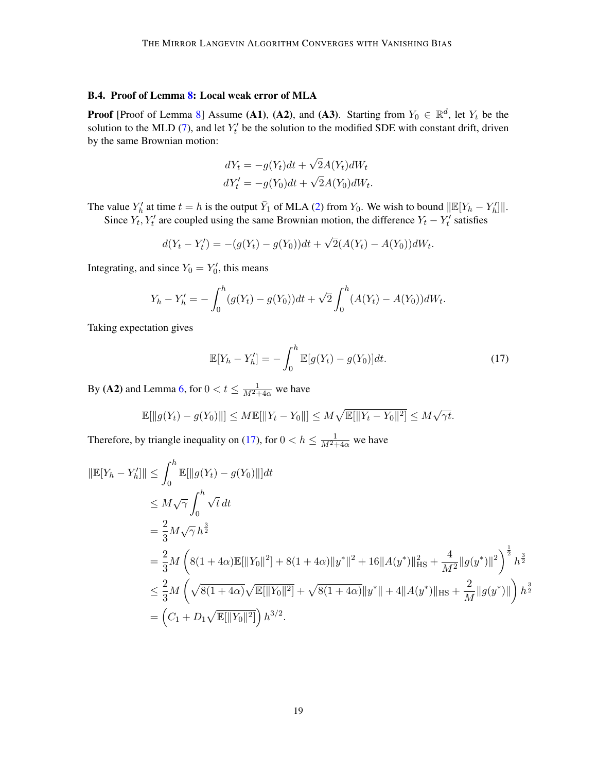#### B.4. Proof of Lemma [8:](#page-9-1) Local weak error of MLA

**Proof** [Proof of Lemma [8\]](#page-9-1) Assume (A1), (A2), and (A3). Starting from  $Y_0 \in \mathbb{R}^d$ , let  $Y_t$  be the solution to the MLD [\(7\)](#page-8-1), and let  $Y_t$  be the solution to the modified SDE with constant drift, driven by the same Brownian motion:

$$
dY_t = -g(Y_t)dt + \sqrt{2}A(Y_t)dW_t
$$
  

$$
dY'_t = -g(Y_0)dt + \sqrt{2}A(Y_0)dW_t.
$$

The value  $Y'_h$  at time  $t = h$  is the output  $\bar{Y}_1$  of MLA [\(2\)](#page-3-1) from  $Y_0$ . We wish to bound  $\|\mathbb{E}[Y_h - Y'_h]\|$ . Since  $Y_t$ ,  $Y_t'$  are coupled using the same Brownian motion, the difference  $Y_t - Y_t'$  satisfies

$$
d(Y_t - Y'_t) = -(g(Y_t) - g(Y_0))dt + \sqrt{2}(A(Y_t) - A(Y_0))dW_t.
$$

Integrating, and since  $Y_0 = Y'_0$ , this means

$$
Y_h - Y'_h = -\int_0^h (g(Y_t) - g(Y_0))dt + \sqrt{2}\int_0^h (A(Y_t) - A(Y_0))dW_t.
$$

Taking expectation gives

<span id="page-18-0"></span>
$$
\mathbb{E}[Y_h - Y'_h] = -\int_0^h \mathbb{E}[g(Y_t) - g(Y_0)]dt.
$$
 (17)

By (A2) and Lemma [6,](#page-8-5) for  $0 < t \leq \frac{1}{M^2+4\alpha}$  we have

$$
\mathbb{E}[\|g(Y_t) - g(Y_0)\|] \le M \mathbb{E}[\|Y_t - Y_0\|] \le M \sqrt{\mathbb{E}[\|Y_t - Y_0\|^2]} \le M \sqrt{\gamma t}.
$$

Therefore, by triangle inequality on [\(17\)](#page-18-0), for  $0 < h \le \frac{1}{M^2+4\alpha}$  we have

$$
\begin{split}\n\|\mathbb{E}[Y_h - Y_h']\| &\leq \int_0^h \mathbb{E}[\|g(Y_t) - g(Y_0)\|]dt \\
&\leq M\sqrt{\gamma} \int_0^h \sqrt{t} \, dt \\
&= \frac{2}{3}M\sqrt{\gamma} h^{\frac{3}{2}} \\
&= \frac{2}{3}M\left(8(1+4\alpha)\mathbb{E}[\|Y_0\|^2] + 8(1+4\alpha)\|y^*\|^2 + 16\|A(y^*)\|_{\text{HS}}^2 + \frac{4}{M^2}\|g(y^*)\|^2\right)^{\frac{1}{2}} h^{\frac{3}{2}} \\
&\leq \frac{2}{3}M\left(\sqrt{8(1+4\alpha)}\sqrt{\mathbb{E}[\|Y_0\|^2]} + \sqrt{8(1+4\alpha)}\|y^*\| + 4\|A(y^*)\|_{\text{HS}} + \frac{2}{M}\|g(y^*)\|\right) h^{\frac{3}{2}} \\
&= \left(C_1 + D_1\sqrt{\mathbb{E}[\|Y_0\|^2]}\right)h^{3/2}.\n\end{split}
$$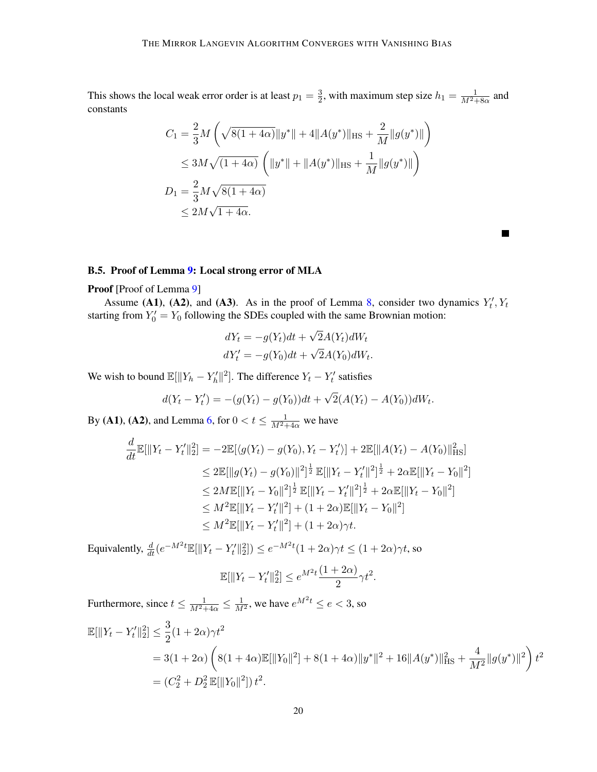This shows the local weak error order is at least  $p_1 = \frac{3}{2}$  $\frac{3}{2}$ , with maximum step size  $h_1 = \frac{1}{M^2 + 8\alpha}$  and constants

$$
C_1 = \frac{2}{3}M\left(\sqrt{8(1+4\alpha)}\|y^*\| + 4\|A(y^*)\|_{\text{HS}} + \frac{2}{M}\|g(y^*)\|\right)
$$
  
\n
$$
\leq 3M\sqrt{(1+4\alpha)}\left(\|y^*\| + \|A(y^*)\|_{\text{HS}} + \frac{1}{M}\|g(y^*)\|\right)
$$
  
\n
$$
D_1 = \frac{2}{3}M\sqrt{8(1+4\alpha)}
$$
  
\n
$$
\leq 2M\sqrt{1+4\alpha}.
$$

 $\blacksquare$ 

## B.5. Proof of Lemma [9:](#page-9-2) Local strong error of MLA

## Proof [Proof of Lemma [9\]](#page-9-2)

Assume (A1), (A2), and (A3). As in the proof of Lemma [8,](#page-9-1) consider two dynamics  $Y_t'$ ,  $Y_t$ starting from  $Y'_0 = Y_0$  following the SDEs coupled with the same Brownian motion:

$$
dY_t = -g(Y_t)dt + \sqrt{2}A(Y_t)dW_t
$$
  

$$
dY'_t = -g(Y_0)dt + \sqrt{2}A(Y_0)dW_t.
$$

We wish to bound  $\mathbb{E}[\|Y_h - Y_h'\|^2]$ . The difference  $Y_t - Y_t'$  satisfies

$$
d(Y_t - Y'_t) = -(g(Y_t) - g(Y_0))dt + \sqrt{2}(A(Y_t) - A(Y_0))dW_t.
$$

By (A1), (A2), and Lemma [6,](#page-8-5) for  $0 < t \leq \frac{1}{M^2+4\alpha}$  we have

$$
\frac{d}{dt}\mathbb{E}[\|Y_t - Y'_t\|_2^2] = -2\mathbb{E}[\langle g(Y_t) - g(Y_0), Y_t - Y'_t \rangle] + 2\mathbb{E}[\|A(Y_t) - A(Y_0)\|_{\text{HS}}^2]
$$
\n
$$
\leq 2\mathbb{E}[\|g(Y_t) - g(Y_0)\|^2]^{\frac{1}{2}}\mathbb{E}[\|Y_t - Y'_t\|^2]^{\frac{1}{2}} + 2\alpha \mathbb{E}[\|Y_t - Y_0\|^2]
$$
\n
$$
\leq 2M\mathbb{E}[\|Y_t - Y_0\|^2]^{\frac{1}{2}}\mathbb{E}[\|Y_t - Y'_t\|^2]^{\frac{1}{2}} + 2\alpha \mathbb{E}[\|Y_t - Y_0\|^2]
$$
\n
$$
\leq M^2\mathbb{E}[\|Y_t - Y'_t\|^2] + (1 + 2\alpha)\mathbb{E}[\|Y_t - Y_0\|^2]
$$
\n
$$
\leq M^2\mathbb{E}[\|Y_t - Y'_t\|^2] + (1 + 2\alpha)\gamma t.
$$

Equivalently,  $\frac{d}{dt}(e^{-M^2t}\mathbb{E}[\|Y_t - Y_t'\|_2^2]) \leq e^{-M^2t}(1+2\alpha)\gamma t \leq (1+2\alpha)\gamma t$ , so

$$
\mathbb{E}[\|Y_t - Y_t'\|_2^2] \le e^{M^2 t} \frac{(1+2\alpha)}{2} \gamma t^2.
$$

Furthermore, since  $t \le \frac{1}{M^2+4\alpha} \le \frac{1}{M^2}$ , we have  $e^{M^2t} \le e < 3$ , so

$$
\mathbb{E}[\|Y_t - Y_t'\|_2^2] \le \frac{3}{2}(1 + 2\alpha)\gamma t^2
$$
  
= 3(1 + 2\alpha) \left(8(1 + 4\alpha)\mathbb{E}[\|Y\_0\|^2] + 8(1 + 4\alpha)\|y^\*\|^2 + 16\|A(y^\*)\|\_{\text{HS}}^2 + \frac{4}{M^2}\|g(y^\*)\|^2\right) t^2  
= (C\_2^2 + D\_2^2 \mathbb{E}[\|Y\_0\|^2]) t^2.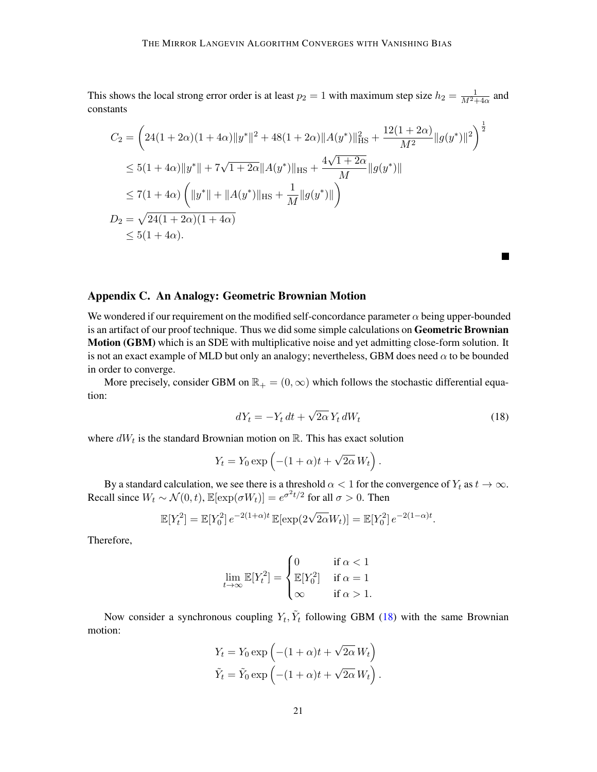This shows the local strong error order is at least  $p_2 = 1$  with maximum step size  $h_2 = \frac{1}{M^2 + 4\alpha}$  and constants

$$
C_2 = \left(24(1+2\alpha)(1+4\alpha)\|y^*\|^2 + 48(1+2\alpha)\|A(y^*)\|_{\text{HS}}^2 + \frac{12(1+2\alpha)}{M^2}\|g(y^*)\|^2\right)^{\frac{1}{2}}
$$
  
\n
$$
\leq 5(1+4\alpha)\|y^*\| + 7\sqrt{1+2\alpha}\|A(y^*)\|_{\text{HS}} + \frac{4\sqrt{1+2\alpha}}{M}\|g(y^*)\|
$$
  
\n
$$
\leq 7(1+4\alpha)\left(\|y^*\| + \|A(y^*)\|_{\text{HS}} + \frac{1}{M}\|g(y^*)\|\right)
$$
  
\n
$$
D_2 = \sqrt{24(1+2\alpha)(1+4\alpha)}
$$
  
\n
$$
\leq 5(1+4\alpha).
$$

## <span id="page-20-0"></span>Appendix C. An Analogy: Geometric Brownian Motion

We wondered if our requirement on the modified self-concordance parameter  $\alpha$  being upper-bounded is an artifact of our proof technique. Thus we did some simple calculations on Geometric Brownian Motion (GBM) which is an SDE with multiplicative noise and yet admitting close-form solution. It is not an exact example of MLD but only an analogy; nevertheless, GBM does need  $\alpha$  to be bounded in order to converge.

More precisely, consider GBM on  $\mathbb{R}_+ = (0, \infty)$  which follows the stochastic differential equation:

$$
dY_t = -Y_t dt + \sqrt{2\alpha} Y_t dW_t
$$
\n(18)

<span id="page-20-1"></span> $\blacksquare$ 

where  $dW_t$  is the standard Brownian motion on  $\mathbb{R}$ . This has exact solution

$$
Y_t = Y_0 \exp\left(-(1+\alpha)t + \sqrt{2\alpha} W_t\right).
$$

By a standard calculation, we see there is a threshold  $\alpha < 1$  for the convergence of  $Y_t$  as  $t \to \infty$ . Recall since  $W_t \sim \mathcal{N}(0, t)$ ,  $\mathbb{E}[\exp(\sigma W_t)] = e^{\sigma^2 t/2}$  for all  $\sigma > 0$ . Then

$$
\mathbb{E}[Y_t^2] = \mathbb{E}[Y_0^2] e^{-2(1+\alpha)t} \mathbb{E}[\exp(2\sqrt{2\alpha}W_t)] = \mathbb{E}[Y_0^2] e^{-2(1-\alpha)t}.
$$

Therefore,

$$
\lim_{t \to \infty} \mathbb{E}[Y_t^2] = \begin{cases} 0 & \text{if } \alpha < 1 \\ \mathbb{E}[Y_0^2] & \text{if } \alpha = 1 \\ \infty & \text{if } \alpha > 1. \end{cases}
$$

Now consider a synchronous coupling  $Y_t$ ,  $\tilde{Y}_t$  following GBM [\(18\)](#page-20-1) with the same Brownian motion:

$$
Y_t = Y_0 \exp\left(-(1+\alpha)t + \sqrt{2\alpha} W_t\right)
$$
  

$$
\tilde{Y}_t = \tilde{Y}_0 \exp\left(-(1+\alpha)t + \sqrt{2\alpha} W_t\right).
$$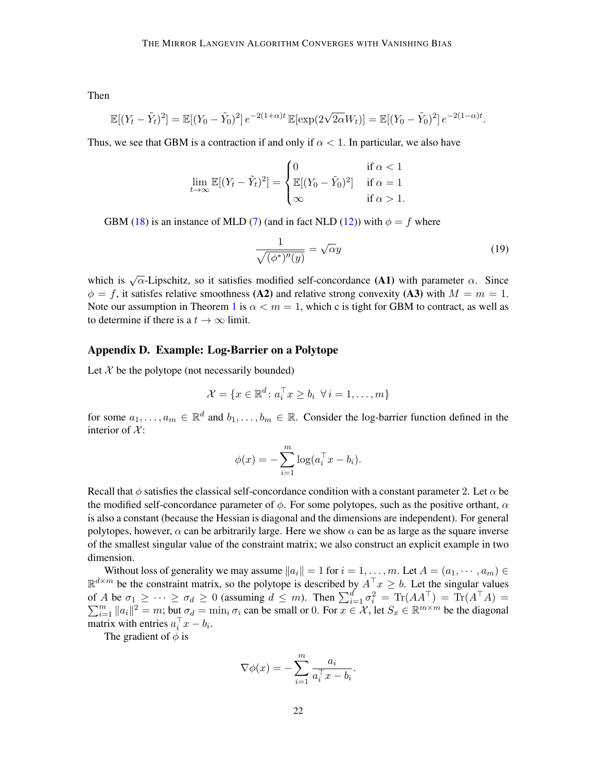Then

$$
\mathbb{E}[(Y_t - \tilde{Y}_t)^2] = \mathbb{E}[(Y_0 - \tilde{Y}_0)^2] e^{-2(1+\alpha)t} \mathbb{E}[\exp(2\sqrt{2\alpha}W_t)] = \mathbb{E}[(Y_0 - \tilde{Y}_0)^2] e^{-2(1-\alpha)t}.
$$

Thus, we see that GBM is a contraction if and only if  $\alpha < 1$ . In particular, we also have

$$
\lim_{t \to \infty} \mathbb{E}[(Y_t - \tilde{Y}_t)^2] = \begin{cases} 0 & \text{if } \alpha < 1 \\ \mathbb{E}[(Y_0 - \tilde{Y}_0)^2] & \text{if } \alpha = 1 \\ \infty & \text{if } \alpha > 1. \end{cases}
$$

GBM [\(18\)](#page-20-1) is an instance of MLD [\(7\)](#page-8-1) (and in fact NLD [\(12\)](#page-15-5)) with  $\phi = f$  where

$$
\frac{1}{\sqrt{(\phi^*)''(y)}} = \sqrt{\alpha}y\tag{19}
$$

which is  $\sqrt{\alpha}$ -Lipschitz, so it satisfies modified self-concordance (A1) with parameter  $\alpha$ . Since  $\phi = f$ , it satisfes relative smoothness (A2) and relative strong convexity (A3) with  $M = m = 1$ . Note our assumption in Theorem [1](#page-4-0) is  $\alpha < m = 1$ , which c is tight for GBM to contract, as well as to determine if there is a  $t \to \infty$  limit.

## <span id="page-21-0"></span>Appendix D. Example: Log-Barrier on a Polytope

Let  $X$  be the polytope (not necessarily bounded)

$$
\mathcal{X} = \{x \in \mathbb{R}^d \colon a_i^\top x \ge b_i \ \forall i = 1, \dots, m\}
$$

for some  $a_1, \ldots, a_m \in \mathbb{R}^d$  and  $b_1, \ldots, b_m \in \mathbb{R}$ . Consider the log-barrier function defined in the interior of  $\mathcal{X}$ :

$$
\phi(x) = -\sum_{i=1}^m \log(a_i^\top x - b_i).
$$

Recall that  $\phi$  satisfies the classical self-concordance condition with a constant parameter 2. Let  $\alpha$  be the modified self-concordance parameter of  $\phi$ . For some polytopes, such as the positive orthant,  $\alpha$ is also a constant (because the Hessian is diagonal and the dimensions are independent). For general polytopes, however,  $\alpha$  can be arbitrarily large. Here we show  $\alpha$  can be as large as the square inverse of the smallest singular value of the constraint matrix; we also construct an explicit example in two dimension.

Without loss of generality we may assume  $||a_i|| = 1$  for  $i = 1, ..., m$ . Let  $A = (a_1, ..., a_m) \in$  $\mathbb{R}^{d \times m}$  be the constraint matrix, so the polytope is described by  $A^{\top} x \geq b$ . Let the singular values of A be  $\sigma_1 \geq \cdots \geq \sigma_d \geq 0$  (assuming  $d \leq m$ ). Then  $\sum_{i=1}^d \sigma_i^2 = \text{Tr}(AA^{\top}) = \text{Tr}(A^{\top}A) =$  $\sum_{i=1}^{m} ||a_i||^2 = m$ ; but  $\sigma_d = \min_i \sigma_i$  can be small or 0. For  $x \in \mathcal{X}$ , let  $S_x \in \mathbb{R}^{m \times m}$  be the diagonal matrix with entries  $a_i^{\top} x - b_i$ .

The gradient of  $\phi$  is

$$
\nabla \phi(x) = -\sum_{i=1}^{m} \frac{a_i}{a_i^{\top} x - b_i}.
$$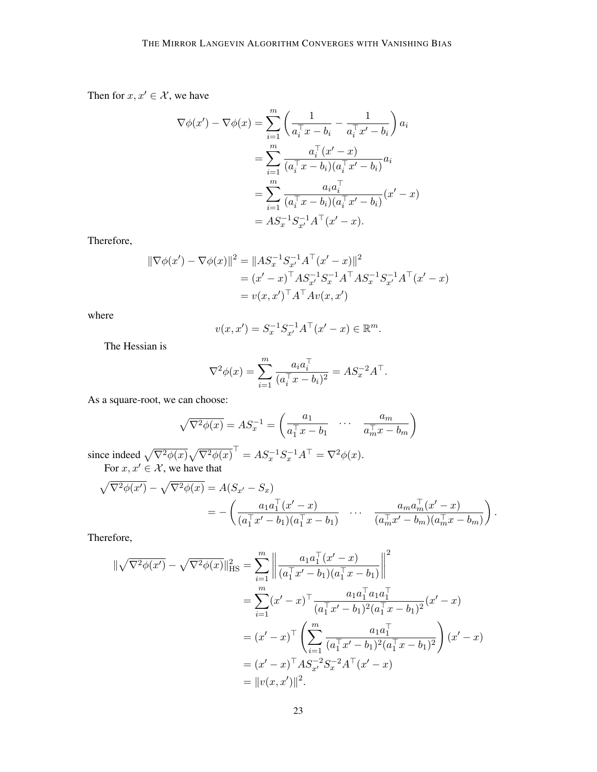Then for  $x, x' \in \mathcal{X}$ , we have

$$
\nabla \phi(x') - \nabla \phi(x) = \sum_{i=1}^{m} \left( \frac{1}{a_i^{\top} x - b_i} - \frac{1}{a_i^{\top} x' - b_i} \right) a_i
$$
  
= 
$$
\sum_{i=1}^{m} \frac{a_i^{\top} (x' - x)}{(a_i^{\top} x - b_i)(a_i^{\top} x' - b_i)} a_i
$$
  
= 
$$
\sum_{i=1}^{m} \frac{a_i a_i^{\top}}{(a_i^{\top} x - b_i)(a_i^{\top} x' - b_i)} (x' - x)
$$
  
= 
$$
AS_x^{-1} S_{x'}^{-1} A^{\top} (x' - x).
$$

Therefore,

$$
\|\nabla \phi(x') - \nabla \phi(x)\|^2 = \|AS_x^{-1} S_{x'}^{-1} A^\top (x' - x)\|^2
$$
  
=  $(x' - x)^\top AS_{x'}^{-1} S_x^{-1} A^\top AS_x^{-1} S_{x'}^{-1} A^\top (x' - x)$   
=  $v(x, x')^\top A^\top Av(x, x')$ 

where

$$
v(x, x') = S_x^{-1} S_{x'}^{-1} A^{\top} (x' - x) \in \mathbb{R}^m.
$$

The Hessian is

 $\sim$ 

$$
\nabla^2 \phi(x) = \sum_{i=1}^m \frac{a_i a_i^{\top}}{(a_i^{\top} x - b_i)^2} = A S_x^{-2} A^{\top}.
$$

As a square-root, we can choose:

$$
\sqrt{\nabla^2 \phi(x)} = A S_x^{-1} = \begin{pmatrix} a_1 & \cdots & a_m \\ \overline{a_1^\top x - b_1} & \cdots & \overline{a_m^\top x - b_m} \end{pmatrix}
$$

since indeed  $\sqrt{\nabla^2 \phi(x)} \sqrt{\nabla^2 \phi(x)}^\top = A S_x^{-1} S_x^{-1} A^\top = \nabla^2 \phi(x)$ . For  $x, x' \in \mathcal{X}$ , we have that

$$
\sqrt{\nabla^2 \phi(x')} - \sqrt{\nabla^2 \phi(x)} = A(S_{x'} - S_x)
$$
  
= 
$$
- \left( \frac{a_1 a_1^\top (x' - x)}{(a_1^\top x' - b_1)(a_1^\top x - b_1)} \cdots \frac{a_m a_m^\top (x' - x)}{(a_m^\top x' - b_m)(a_m^\top x - b_m)} \right).
$$

Therefore,

$$
\begin{split} \|\sqrt{\nabla^{2}\phi(x')} - \sqrt{\nabla^{2}\phi(x)}\|_{\text{HS}}^{2} &= \sum_{i=1}^{m} \left\| \frac{a_{1}a_{1}^{\top}(x'-x)}{(a_{1}^{\top}x'-b_{1})(a_{1}^{\top}x-b_{1})} \right\|^{2} \\ &= \sum_{i=1}^{m} (x'-x)^{\top} \frac{a_{1}a_{1}^{\top}a_{1}a_{1}^{\top}}{(a_{1}^{\top}x'-b_{1})^{2}(a_{1}^{\top}x-b_{1})^{2}}(x'-x) \\ &= (x'-x)^{\top} \left( \sum_{i=1}^{m} \frac{a_{1}a_{1}^{\top}}{(a_{1}^{\top}x'-b_{1})^{2}(a_{1}^{\top}x-b_{1})^{2}} \right)(x'-x) \\ &= (x'-x)^{\top} A S_{x'}^{-2} S_{x}^{-2} A^{\top}(x'-x) \\ &= \|v(x,x')\|^{2} .\end{split}
$$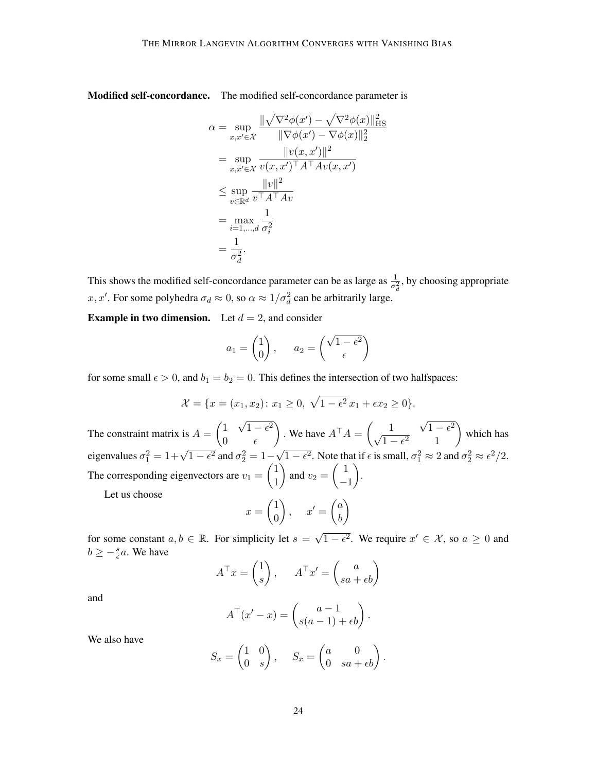Modified self-concordance. The modified self-concordance parameter is

$$
\alpha = \sup_{x,x'\in\mathcal{X}} \frac{\|\sqrt{\nabla^2 \phi(x')} - \sqrt{\nabla^2 \phi(x)}\|_{\text{HS}}^2}{\|\nabla \phi(x') - \nabla \phi(x)\|_2^2}
$$
  
\n
$$
= \sup_{x,x'\in\mathcal{X}} \frac{\|v(x,x')\|^2}{v(x,x')^\top A^\top A v(x,x')}
$$
  
\n
$$
\leq \sup_{v\in\mathbb{R}^d} \frac{\|v\|^2}{v^\top A^\top A v}
$$
  
\n
$$
= \max_{i=1,\dots,d} \frac{1}{\sigma_i^2}
$$
  
\n
$$
= \frac{1}{\sigma_d^2}.
$$

This shows the modified self-concordance parameter can be as large as  $\frac{1}{\sigma_d^2}$ , by choosing appropriate x, x'. For some polyhedra  $\sigma_d \approx 0$ , so  $\alpha \approx 1/\sigma_d^2$  can be arbitrarily large.

**Example in two dimension.** Let  $d = 2$ , and consider

$$
a_1 = \begin{pmatrix} 1 \\ 0 \end{pmatrix}, \qquad a_2 = \begin{pmatrix} \sqrt{1 - \epsilon^2} \\ \epsilon \end{pmatrix}
$$

for some small  $\epsilon > 0$ , and  $b_1 = b_2 = 0$ . This defines the intersection of two halfspaces:

$$
\mathcal{X} = \{x = (x_1, x_2) : x_1 \ge 0, \sqrt{1 - \epsilon^2} x_1 + \epsilon x_2 \ge 0\}.
$$

The constraint matrix is  $A = \begin{pmatrix} 1 & 1 \\ 0 & 1 \end{pmatrix}$ √  $1-\epsilon^2$ 0  $\epsilon$ ). We have  $A^{\top}A = \begin{pmatrix} 1 \\ \frac{1}{A} \end{pmatrix}$ √  $\frac{1}{\sqrt{1-\epsilon^2}}$  $1-\epsilon^2$  1 which has eigenvalues  $\sigma_1^2 = 1 + \sqrt{1 - \epsilon^2}$  and  $\sigma_2^2 = 1 - \frac{1}{\epsilon^2}$ √  $\overline{1-\epsilon^2}$ . Note that if  $\epsilon$  is small,  $\sigma_1^2 \approx 2$  and  $\sigma_2^2 \approx \epsilon^2/2$ . The corresponding eigenvectors are  $v_1 = \begin{pmatrix} 1 \\ 1 \end{pmatrix}$ 1 ) and  $v_2 = \begin{pmatrix} 1 \end{pmatrix}$ −1 . Let us choose  $x =$  $\sqrt{ }$ 1  $\setminus$  $, x' =$  $\sqrt{ }$ a  $\setminus$ 

$$
x = \begin{pmatrix} 1 \\ 0 \end{pmatrix}, \quad x' = \begin{pmatrix} a \\ b \end{pmatrix}
$$

for some constant  $a, b \in \mathbb{R}$ . For simplicity let  $s = \sqrt{ }$  $\overline{1-\epsilon^2}$ . We require  $x' \in \mathcal{X}$ , so  $a \geq 0$  and  $b \geq -\frac{s}{e}a$ . We have

$$
A^{\top} x = \begin{pmatrix} 1 \\ s \end{pmatrix}, \qquad A^{\top} x' = \begin{pmatrix} a \\ sa + \epsilon b \end{pmatrix}
$$

and

$$
A^{\top}(x'-x) = \begin{pmatrix} a-1 \\ s(a-1) + \epsilon b \end{pmatrix}.
$$

We also have

$$
S_x = \begin{pmatrix} 1 & 0 \\ 0 & s \end{pmatrix}, \quad S_x = \begin{pmatrix} a & 0 \\ 0 & sa + \epsilon b \end{pmatrix}.
$$